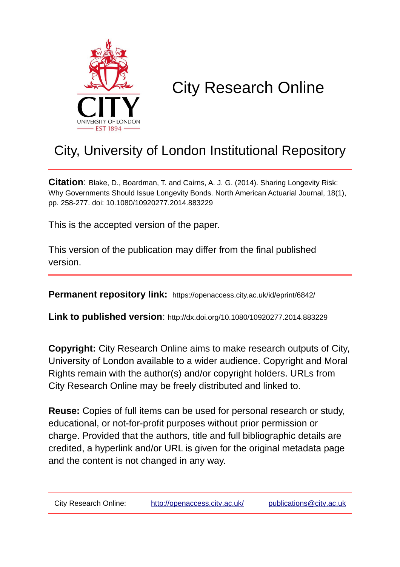

# City Research Online

## City, University of London Institutional Repository

**Citation**: Blake, D., Boardman, T. and Cairns, A. J. G. (2014). Sharing Longevity Risk: Why Governments Should Issue Longevity Bonds. North American Actuarial Journal, 18(1), pp. 258-277. doi: 10.1080/10920277.2014.883229

This is the accepted version of the paper.

This version of the publication may differ from the final published version.

**Permanent repository link:** https://openaccess.city.ac.uk/id/eprint/6842/

**Link to published version**: http://dx.doi.org/10.1080/10920277.2014.883229

**Copyright:** City Research Online aims to make research outputs of City, University of London available to a wider audience. Copyright and Moral Rights remain with the author(s) and/or copyright holders. URLs from City Research Online may be freely distributed and linked to.

**Reuse:** Copies of full items can be used for personal research or study, educational, or not-for-profit purposes without prior permission or charge. Provided that the authors, title and full bibliographic details are credited, a hyperlink and/or URL is given for the original metadata page and the content is not changed in any way.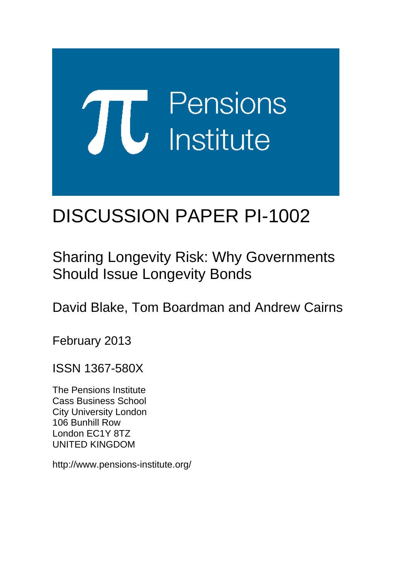# TU Pensions<br>TU Institute

# DISCUSSION PAPER PI-1002

Sharing Longevity Risk: Why Governments Should Issue Longevity Bonds

David Blake, Tom Boardman and Andrew Cairns

February 2013

ISSN 1367-580X

The Pensions Institute Cass Business School City University London 106 Bunhill Row London EC1Y 8TZ UNITED KINGDOM

http://www.pensions-institute.org/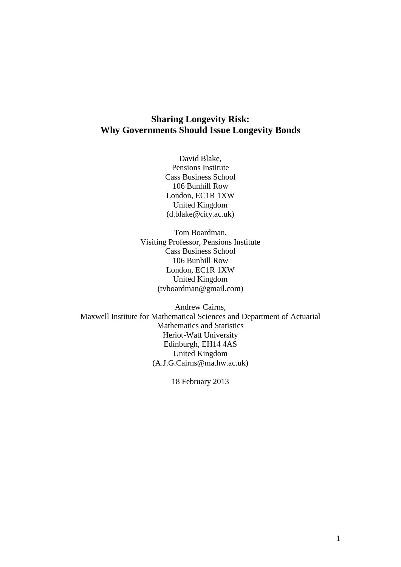### **Sharing Longevity Risk: Why Governments Should Issue Longevity Bonds**

David Blake, Pensions Institute Cass Business School 106 Bunhill Row London, EC1R 1XW United Kingdom (d.blake@city.ac.uk)

Tom Boardman, Visiting Professor, Pensions Institute Cass Business School 106 Bunhill Row London, EC1R 1XW United Kingdom (tvboardman@gmail.com)

Andrew Cairns, Maxwell Institute for Mathematical Sciences and Department of Actuarial Mathematics and Statistics Heriot-Watt University Edinburgh, EH14 4AS United Kingdom (A.J.G.Cairns@ma.hw.ac.uk)

18 February 2013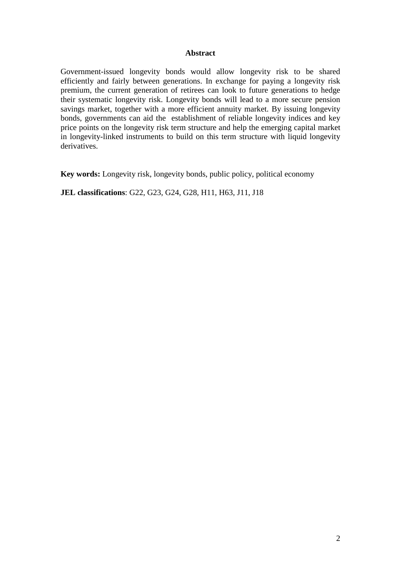### **Abstract**

Government-issued longevity bonds would allow longevity risk to be shared efficiently and fairly between generations. In exchange for paying a longevity risk premium, the current generation of retirees can look to future generations to hedge their systematic longevity risk. Longevity bonds will lead to a more secure pension savings market, together with a more efficient annuity market. By issuing longevity bonds, governments can aid the establishment of reliable longevity indices and key price points on the longevity risk term structure and help the emerging capital market in longevity-linked instruments to build on this term structure with liquid longevity derivatives.

**Key words:** Longevity risk, longevity bonds, public policy, political economy

**JEL classifications**: G22, G23, G24, G28, H11, H63, J11, J18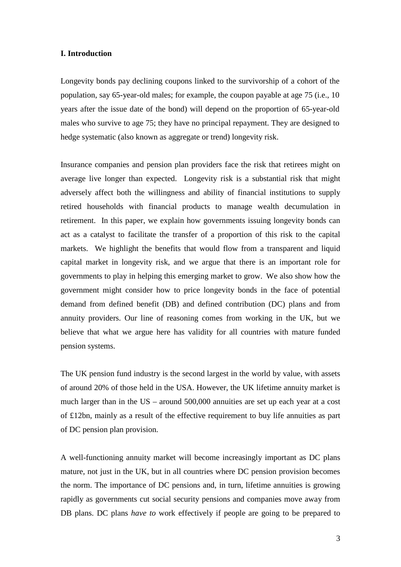### **I. Introduction**

Longevity bonds pay declining coupons linked to the survivorship of a cohort of the population, say 65-year-old males; for example, the coupon payable at age 75 (i.e., 10 years after the issue date of the bond) will depend on the proportion of 65-year-old males who survive to age 75; they have no principal repayment. They are designed to hedge systematic (also known as aggregate or trend) longevity risk.

Insurance companies and pension plan providers face the risk that retirees might on average live longer than expected. Longevity risk is a substantial risk that might adversely affect both the willingness and ability of financial institutions to supply retired households with financial products to manage wealth decumulation in retirement. In this paper, we explain how governments issuing longevity bonds can act as a catalyst to facilitate the transfer of a proportion of this risk to the capital markets. We highlight the benefits that would flow from a transparent and liquid capital market in longevity risk, and we argue that there is an important role for governments to play in helping this emerging market to grow. We also show how the government might consider how to price longevity bonds in the face of potential demand from defined benefit (DB) and defined contribution (DC) plans and from annuity providers. Our line of reasoning comes from working in the UK, but we believe that what we argue here has validity for all countries with mature funded pension systems.

The UK pension fund industry is the second largest in the world by value, with assets of around 20% of those held in the USA. However, the UK lifetime annuity market is much larger than in the US – around 500,000 annuities are set up each year at a cost of £12bn, mainly as a result of the effective requirement to buy life annuities as part of DC pension plan provision.

A well-functioning annuity market will become increasingly important as DC plans mature, not just in the UK, but in all countries where DC pension provision becomes the norm. The importance of DC pensions and, in turn, lifetime annuities is growing rapidly as governments cut social security pensions and companies move away from DB plans. DC plans *have to* work effectively if people are going to be prepared to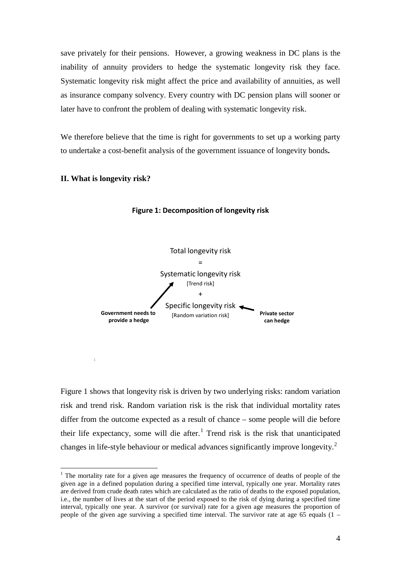save privately for their pensions. However, a growing weakness in DC plans is the inability of annuity providers to hedge the systematic longevity risk they face. Systematic longevity risk might affect the price and availability of annuities, as well as insurance company solvency. Every country with DC pension plans will sooner or later have to confront the problem of dealing with systematic longevity risk.

We therefore believe that the time is right for governments to set up a working party to undertake a cost-benefit analysis of the government issuance of longevity bonds**.**

**II. What is longevity risk?**

1





Figure 1 shows that longevity risk is driven by two underlying risks: random variation risk and trend risk. Random variation risk is the risk that individual mortality rates differ from the outcome expected as a result of chance – some people will die before their life expectancy, some will die after.<sup>[1](#page-5-0)</sup> Trend risk is the risk that unanticipated changes in life-style behaviour or medical advances significantly improve longevity.[2](#page-5-1)

<span id="page-5-1"></span><span id="page-5-0"></span><sup>&</sup>lt;sup>1</sup> The mortality rate for a given age measures the frequency of occurrence of deaths of people of the given age in a defined population during a specified time interval, typically one year. Mortality rates are derived from crude death rates which are calculated as the ratio of deaths to the exposed population, i.e., the number of lives at the start of the period exposed to the risk of dying during a specified time interval, typically one year. A survivor (or survival) rate for a given age measures the proportion of people of the given age surviving a specified time interval. The survivor rate at age 65 equals  $(1 -$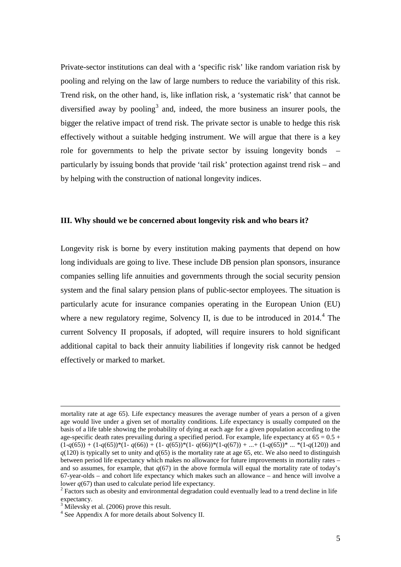Private-sector institutions can deal with a 'specific risk' like random variation risk by pooling and relying on the law of large numbers to reduce the variability of this risk. Trend risk, on the other hand, is, like inflation risk, a 'systematic risk' that cannot be diversified away by pooling<sup>[3](#page-6-0)</sup> and, indeed, the more business an insurer pools, the bigger the relative impact of trend risk. The private sector is unable to hedge this risk effectively without a suitable hedging instrument. We will argue that there is a key role for governments to help the private sector by issuing longevity bonds – particularly by issuing bonds that provide 'tail risk' protection against trend risk – and by helping with the construction of national longevity indices.

### **III. Why should we be concerned about longevity risk and who bears it?**

Longevity risk is borne by every institution making payments that depend on how long individuals are going to live. These include DB pension plan sponsors, insurance companies selling life annuities and governments through the social security pension system and the final salary pension plans of public-sector employees. The situation is particularly acute for insurance companies operating in the European Union (EU) where a new regulatory regime, Solvency II, is due to be introduced in 201[4](#page-6-1).<sup>4</sup> The current Solvency II proposals, if adopted, will require insurers to hold significant additional capital to back their annuity liabilities if longevity risk cannot be hedged effectively or marked to market.

<u>.</u>

mortality rate at age 65). Life expectancy measures the average number of years a person of a given age would live under a given set of mortality conditions. Life expectancy is usually computed on the basis of a life table showing the probability of dying at each age for a given population according to the age-specific death rates prevailing during a specified period. For example, life expectancy at  $65 = 0.5 + 1$  $(1-q(65)) + (1-q(65))^*(1-q(66)) + (1-q(65))^*(1-q(66))^* (1-q(67)) + ... + (1-q(65))^* ...$  \*(1-*q*(120)) and  $q(120)$  is typically set to unity and  $q(65)$  is the mortality rate at age 65, etc. We also need to distinguish between period life expectancy which makes no allowance for future improvements in mortality rates – and so assumes, for example, that  $q(67)$  in the above formula will equal the mortality rate of today's 67-year-olds – and cohort life expectancy which makes such an allowance – and hence will involve a lower  $a(67)$  than used to calculate period life expectancy.

 $\alpha$ <sup>2</sup> Factors such as obesity and environmental degradation could eventually lead to a trend decline in life expectancy.

 $3$  Milevsky et al. (2006) prove this result.

<span id="page-6-1"></span><span id="page-6-0"></span><sup>4</sup> See Appendix A for more details about Solvency II.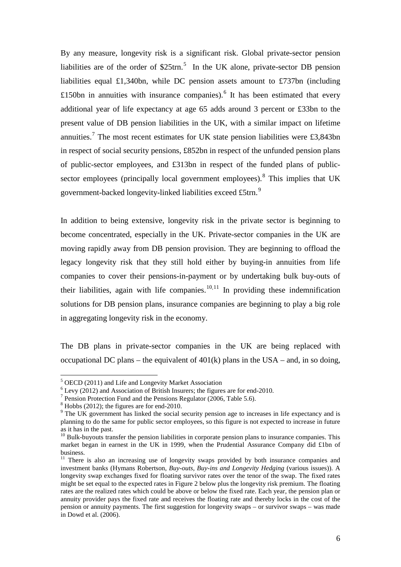By any measure, longevity risk is a significant risk. Global private-sector pension liabilities are of the order of  $$25$  $$25$ trn.<sup>5</sup> In the UK alone, private-sector DB pension liabilities equal £1,340bn, while DC pension assets amount to £737bn (including £150bn in annuities with insurance companies).<sup>[6](#page-7-1)</sup> It has been estimated that every additional year of life expectancy at age 65 adds around 3 percent or £33bn to the present value of DB pension liabilities in the UK, with a similar impact on lifetime annuities.<sup>[7](#page-7-2)</sup> The most recent estimates for UK state pension liabilities were £3,843bn in respect of social security pensions, £852bn in respect of the unfunded pension plans of public-sector employees, and £313bn in respect of the funded plans of public-sector employees (principally local government employees).<sup>[8](#page-7-3)</sup> This implies that UK government-backed longevity-linked liabilities exceed £5trn.<sup>[9](#page-7-4)</sup>

In addition to being extensive, longevity risk in the private sector is beginning to become concentrated, especially in the UK. Private-sector companies in the UK are moving rapidly away from DB pension provision. They are beginning to offload the legacy longevity risk that they still hold either by buying-in annuities from life companies to cover their pensions-in-payment or by undertaking bulk buy-outs of their liabilities, again with life companies.<sup>[10,](#page-7-5)[11](#page-7-6)</sup> In providing these indemnification solutions for DB pension plans, insurance companies are beginning to play a big role in aggregating longevity risk in the economy.

The DB plans in private-sector companies in the UK are being replaced with occupational DC plans – the equivalent of  $401(k)$  plans in the USA – and, in so doing,

<span id="page-7-2"></span>

<span id="page-7-4"></span><span id="page-7-3"></span>

<span id="page-7-1"></span><span id="page-7-0"></span><sup>&</sup>lt;sup>5</sup> OECD (2011) and Life and Longevity Market Association<br>
<sup>6</sup> Levy (2012) and Association of British Insurers; the figures are for end-2010.<br>
<sup>7</sup> Pension Protection Fund and the Pensions Regulator (2006, Table 5.6).<br>
<sup>8</sup> planning to do the same for public sector employees, so this figure is not expected to increase in future as it has in the past.

<span id="page-7-5"></span> $10$  Bulk-buyouts transfer the pension liabilities in corporate pension plans to insurance companies. This market began in earnest in the UK in 1999, when the Prudential Assurance Company did £1bn of business.

<span id="page-7-6"></span><sup>&</sup>lt;sup>11</sup> There is also an increasing use of longevity swaps provided by both insurance companies and investment banks (Hymans Robertson, *Buy-outs, Buy-ins and Longevity Hedging* (various issues)). A longevity swap exchanges fixed for floating survivor rates over the tenor of the swap. The fixed rates might be set equal to the expected rates in Figure 2 below plus the longevity risk premium. The floating rates are the realized rates which could be above or below the fixed rate. Each year, the pension plan or annuity provider pays the fixed rate and receives the floating rate and thereby locks in the cost of the pension or annuity payments. The first suggestion for longevity swaps – or survivor swaps – was made in Dowd et al. (2006).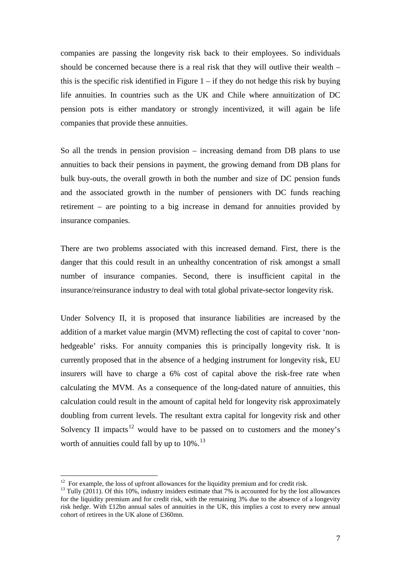companies are passing the longevity risk back to their employees. So individuals should be concerned because there is a real risk that they will outlive their wealth – this is the specific risk identified in Figure  $1 - if$  they do not hedge this risk by buying life annuities. In countries such as the UK and Chile where annuitization of DC pension pots is either mandatory or strongly incentivized, it will again be life companies that provide these annuities.

So all the trends in pension provision – increasing demand from DB plans to use annuities to back their pensions in payment, the growing demand from DB plans for bulk buy-outs, the overall growth in both the number and size of DC pension funds and the associated growth in the number of pensioners with DC funds reaching retirement – are pointing to a big increase in demand for annuities provided by insurance companies.

There are two problems associated with this increased demand. First, there is the danger that this could result in an unhealthy concentration of risk amongst a small number of insurance companies. Second, there is insufficient capital in the insurance/reinsurance industry to deal with total global private-sector longevity risk.

Under Solvency II, it is proposed that insurance liabilities are increased by the addition of a market value margin (MVM) reflecting the cost of capital to cover 'nonhedgeable' risks. For annuity companies this is principally longevity risk. It is currently proposed that in the absence of a hedging instrument for longevity risk, EU insurers will have to charge a 6% cost of capital above the risk-free rate when calculating the MVM. As a consequence of the long-dated nature of annuities, this calculation could result in the amount of capital held for longevity risk approximately doubling from current levels. The resultant extra capital for longevity risk and other Solvency II impacts<sup>[12](#page-8-0)</sup> would have to be passed on to customers and the money's worth of annuities could fall by up to  $10\%$ .<sup>[13](#page-8-1)</sup>

<span id="page-8-1"></span><span id="page-8-0"></span><sup>&</sup>lt;sup>12</sup> For example, the loss of upfront allowances for the liquidity premium and for credit risk.<br><sup>13</sup> Tully (2011). Of this 10%, industry insiders estimate that 7% is accounted for by the lost allowances for the liquidity premium and for credit risk, with the remaining 3% due to the absence of a longevity risk hedge. With £12bn annual sales of annuities in the UK, this implies a cost to every new annual cohort of retirees in the UK alone of £360mn.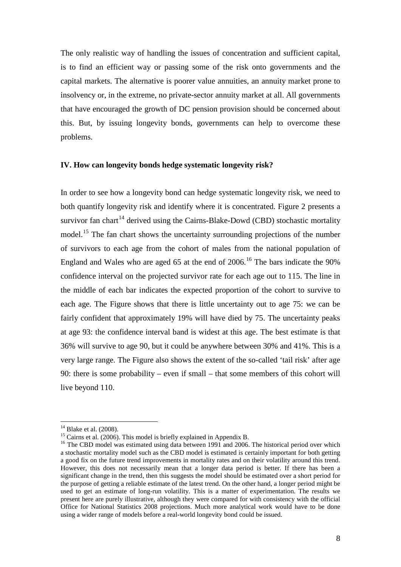The only realistic way of handling the issues of concentration and sufficient capital, is to find an efficient way or passing some of the risk onto governments and the capital markets. The alternative is poorer value annuities, an annuity market prone to insolvency or, in the extreme, no private-sector annuity market at all. All governments that have encouraged the growth of DC pension provision should be concerned about this. But, by issuing longevity bonds, governments can help to overcome these problems.

### **IV. How can longevity bonds hedge systematic longevity risk?**

In order to see how a longevity bond can hedge systematic longevity risk, we need to both quantify longevity risk and identify where it is concentrated. Figure 2 presents a survivor fan chart<sup>[14](#page-9-0)</sup> derived using the Cairns-Blake-Dowd (CBD) stochastic mortality model.<sup>[15](#page-9-1)</sup> The fan chart shows the uncertainty surrounding projections of the number of survivors to each age from the cohort of males from the national population of England and Wales who are aged  $65$  at the end of  $2006$ .<sup>[16](#page-9-2)</sup> The bars indicate the  $90\%$ confidence interval on the projected survivor rate for each age out to 115. The line in the middle of each bar indicates the expected proportion of the cohort to survive to each age. The Figure shows that there is little uncertainty out to age 75: we can be fairly confident that approximately 19% will have died by 75. The uncertainty peaks at age 93: the confidence interval band is widest at this age. The best estimate is that 36% will survive to age 90, but it could be anywhere between 30% and 41%. This is a very large range. The Figure also shows the extent of the so-called 'tail risk' after age 90: there is some probability – even if small – that some members of this cohort will live beyond 110.

<span id="page-9-2"></span><span id="page-9-1"></span>

<span id="page-9-0"></span><sup>&</sup>lt;sup>14</sup> Blake et al. (2008).<br><sup>15</sup> Cairns et al. (2006). This model is briefly explained in Appendix B.<br><sup>16</sup> The CBD model was estimated using data between 1991 and 2006. The historical period over which a stochastic mortality model such as the CBD model is estimated is certainly important for both getting a good fix on the future trend improvements in mortality rates and on their volatility around this trend. However, this does not necessarily mean that a longer data period is better. If there has been a significant change in the trend, then this suggests the model should be estimated over a short period for the purpose of getting a reliable estimate of the latest trend. On the other hand, a longer period might be used to get an estimate of long-run volatility. This is a matter of experimentation. The results we present here are purely illustrative, although they were compared for with consistency with the official Office for National Statistics 2008 projections. Much more analytical work would have to be done using a wider range of models before a real-world longevity bond could be issued.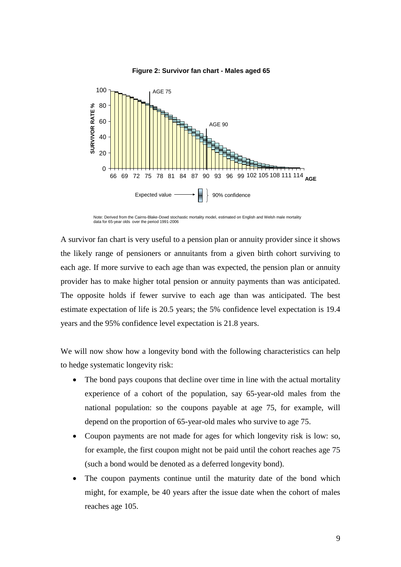

### **Figure 2: Survivor fan chart - Males aged 65**

Note: Derived from the Cairns-Blake-Dowd stochastic mortality model, estimated on English and Welsh male mortality data for 65-year olds over the period 1991-2006

A survivor fan chart is very useful to a pension plan or annuity provider since it shows the likely range of pensioners or annuitants from a given birth cohort surviving to each age. If more survive to each age than was expected, the pension plan or annuity provider has to make higher total pension or annuity payments than was anticipated. The opposite holds if fewer survive to each age than was anticipated. The best estimate expectation of life is 20.5 years; the 5% confidence level expectation is 19.4 years and the 95% confidence level expectation is 21.8 years.

We will now show how a longevity bond with the following characteristics can help to hedge systematic longevity risk:

- The bond pays coupons that decline over time in line with the actual mortality experience of a cohort of the population, say 65-year-old males from the national population: so the coupons payable at age 75, for example, will depend on the proportion of 65-year-old males who survive to age 75.
- Coupon payments are not made for ages for which longevity risk is low: so, for example, the first coupon might not be paid until the cohort reaches age 75 (such a bond would be denoted as a deferred longevity bond).
- The coupon payments continue until the maturity date of the bond which might, for example, be 40 years after the issue date when the cohort of males reaches age 105.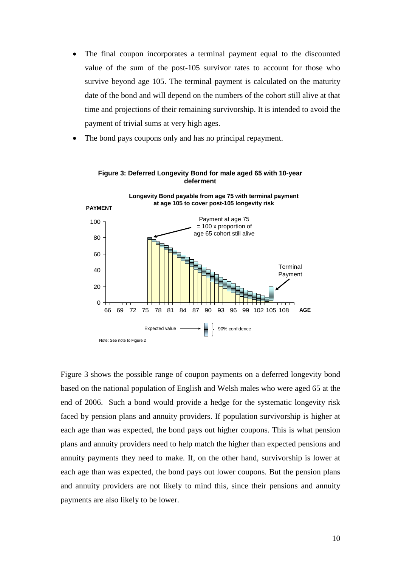- The final coupon incorporates a terminal payment equal to the discounted value of the sum of the post-105 survivor rates to account for those who survive beyond age 105. The terminal payment is calculated on the maturity date of the bond and will depend on the numbers of the cohort still alive at that time and projections of their remaining survivorship. It is intended to avoid the payment of trivial sums at very high ages.
- The bond pays coupons only and has no principal repayment.



**Figure 3: Deferred Longevity Bond for male aged 65 with 10-year deferment**

Figure 3 shows the possible range of coupon payments on a deferred longevity bond based on the national population of English and Welsh males who were aged 65 at the end of 2006. Such a bond would provide a hedge for the systematic longevity risk faced by pension plans and annuity providers. If population survivorship is higher at each age than was expected, the bond pays out higher coupons. This is what pension plans and annuity providers need to help match the higher than expected pensions and annuity payments they need to make. If, on the other hand, survivorship is lower at each age than was expected, the bond pays out lower coupons. But the pension plans and annuity providers are not likely to mind this, since their pensions and annuity payments are also likely to be lower.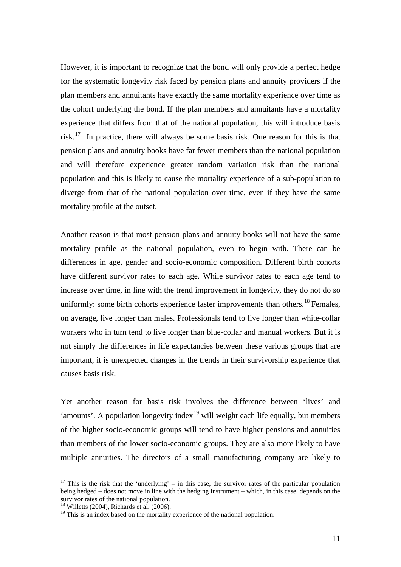However, it is important to recognize that the bond will only provide a perfect hedge for the systematic longevity risk faced by pension plans and annuity providers if the plan members and annuitants have exactly the same mortality experience over time as the cohort underlying the bond. If the plan members and annuitants have a mortality experience that differs from that of the national population, this will introduce basis risk.<sup>17</sup> In practice, there will always be some basis risk. One reason for this is that pension plans and annuity books have far fewer members than the national population and will therefore experience greater random variation risk than the national population and this is likely to cause the mortality experience of a sub-population to diverge from that of the national population over time, even if they have the same mortality profile at the outset.

Another reason is that most pension plans and annuity books will not have the same mortality profile as the national population, even to begin with. There can be differences in age, gender and socio-economic composition. Different birth cohorts have different survivor rates to each age. While survivor rates to each age tend to increase over time, in line with the trend improvement in longevity, they do not do so uniformly: some birth cohorts experience faster improvements than others.<sup>[18](#page-12-1)</sup> Females, on average, live longer than males. Professionals tend to live longer than white-collar workers who in turn tend to live longer than blue-collar and manual workers. But it is not simply the differences in life expectancies between these various groups that are important, it is unexpected changes in the trends in their survivorship experience that causes basis risk.

Yet another reason for basis risk involves the difference between 'lives' and 'amounts'. A population longevity index $19$  will weight each life equally, but members of the higher socio-economic groups will tend to have higher pensions and annuities than members of the lower socio-economic groups. They are also more likely to have multiple annuities. The directors of a small manufacturing company are likely to

<span id="page-12-0"></span><sup>&</sup>lt;sup>17</sup> This is the risk that the 'underlying' – in this case, the survivor rates of the particular population being hedged – does not move in line with the hedging instrument – which, in this case, depends on the survivor rates of the national population.

<span id="page-12-1"></span> $18$  Willetts (2004), Richards et al. (2006).

<span id="page-12-2"></span> $19$ <sup>19</sup> This is an index based on the mortality experience of the national population.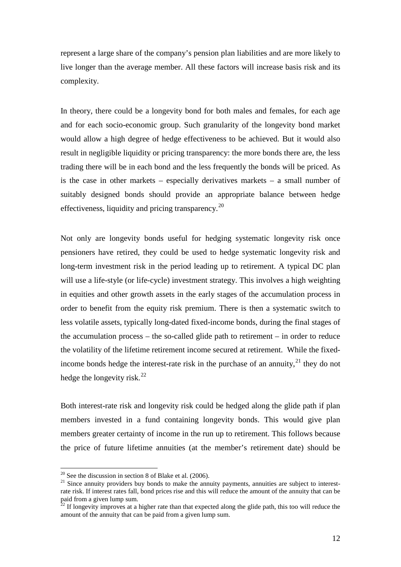represent a large share of the company's pension plan liabilities and are more likely to live longer than the average member. All these factors will increase basis risk and its complexity.

In theory, there could be a longevity bond for both males and females, for each age and for each socio-economic group. Such granularity of the longevity bond market would allow a high degree of hedge effectiveness to be achieved. But it would also result in negligible liquidity or pricing transparency: the more bonds there are, the less trading there will be in each bond and the less frequently the bonds will be priced. As is the case in other markets – especially derivatives markets – a small number of suitably designed bonds should provide an appropriate balance between hedge effectiveness, liquidity and pricing transparency.<sup>[20](#page-13-0)</sup>

Not only are longevity bonds useful for hedging systematic longevity risk once pensioners have retired, they could be used to hedge systematic longevity risk and long-term investment risk in the period leading up to retirement. A typical DC plan will use a life-style (or life-cycle) investment strategy. This involves a high weighting in equities and other growth assets in the early stages of the accumulation process in order to benefit from the equity risk premium. There is then a systematic switch to less volatile assets, typically long-dated fixed-income bonds, during the final stages of the accumulation process – the so-called glide path to retirement – in order to reduce the volatility of the lifetime retirement income secured at retirement. While the fixedincome bonds hedge the interest-rate risk in the purchase of an annuity, $^{21}$  $^{21}$  $^{21}$  they do not hedge the longevity risk. $^{22}$  $^{22}$  $^{22}$ 

Both interest-rate risk and longevity risk could be hedged along the glide path if plan members invested in a fund containing longevity bonds. This would give plan members greater certainty of income in the run up to retirement. This follows because the price of future lifetime annuities (at the member's retirement date) should be

<span id="page-13-1"></span><span id="page-13-0"></span><sup>&</sup>lt;sup>20</sup> See the discussion in section 8 of Blake et al. (2006).<br><sup>21</sup> Since annuity providers buy bonds to make the annuity payments, annuities are subject to interestrate risk. If interest rates fall, bond prices rise and this will reduce the amount of the annuity that can be paid from a given lump sum.

<span id="page-13-2"></span> $22$  If longevity improves at a higher rate than that expected along the glide path, this too will reduce the amount of the annuity that can be paid from a given lump sum.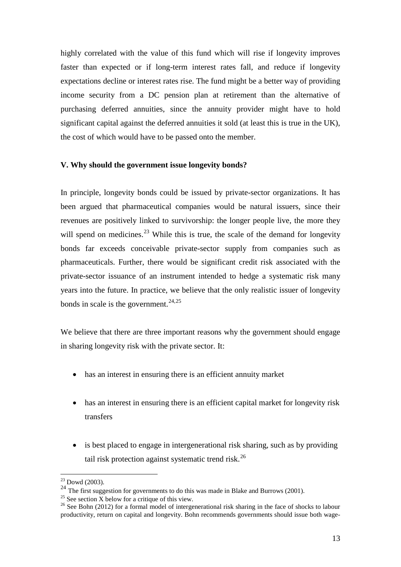highly correlated with the value of this fund which will rise if longevity improves faster than expected or if long-term interest rates fall, and reduce if longevity expectations decline or interest rates rise. The fund might be a better way of providing income security from a DC pension plan at retirement than the alternative of purchasing deferred annuities, since the annuity provider might have to hold significant capital against the deferred annuities it sold (at least this is true in the UK), the cost of which would have to be passed onto the member.

### **V. Why should the government issue longevity bonds?**

In principle, longevity bonds could be issued by private-sector organizations. It has been argued that pharmaceutical companies would be natural issuers, since their revenues are positively linked to survivorship: the longer people live, the more they will spend on medicines.<sup>[23](#page-14-0)</sup> While this is true, the scale of the demand for longevity bonds far exceeds conceivable private-sector supply from companies such as pharmaceuticals. Further, there would be significant credit risk associated with the private-sector issuance of an instrument intended to hedge a systematic risk many years into the future. In practice, we believe that the only realistic issuer of longevity bonds in scale is the government.<sup>[24,](#page-14-1)[25](#page-14-2)</sup>

We believe that there are three important reasons why the government should engage in sharing longevity risk with the private sector. It:

- has an interest in ensuring there is an efficient annuity market
- has an interest in ensuring there is an efficient capital market for longevity risk transfers
- is best placed to engage in intergenerational risk sharing, such as by providing tail risk protection against systematic trend risk.<sup>[26](#page-14-3)</sup>

<span id="page-14-1"></span><span id="page-14-0"></span><sup>&</sup>lt;sup>23</sup> Dowd (2003).<br><sup>24</sup> The first suggestion for governments to do this was made in Blake and Burrows (2001).<br><sup>25</sup> See section X below for a critique of this view.

<span id="page-14-3"></span><span id="page-14-2"></span><sup>&</sup>lt;sup>26</sup> See Bohn (2012) for a formal model of intergenerational risk sharing in the face of shocks to labour productivity, return on capital and longevity. Bohn recommends governments should issue both wage-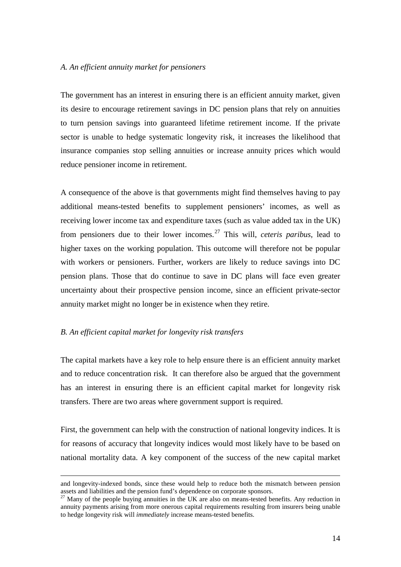### *A. An efficient annuity market for pensioners*

The government has an interest in ensuring there is an efficient annuity market, given its desire to encourage retirement savings in DC pension plans that rely on annuities to turn pension savings into guaranteed lifetime retirement income. If the private sector is unable to hedge systematic longevity risk, it increases the likelihood that insurance companies stop selling annuities or increase annuity prices which would reduce pensioner income in retirement.

A consequence of the above is that governments might find themselves having to pay additional means-tested benefits to supplement pensioners' incomes, as well as receiving lower income tax and expenditure taxes (such as value added tax in the UK) from pensioners due to their lower incomes.[27](#page-15-0) This will, *ceteris paribus*, lead to higher taxes on the working population. This outcome will therefore not be popular with workers or pensioners. Further, workers are likely to reduce savings into DC pension plans. Those that do continue to save in DC plans will face even greater uncertainty about their prospective pension income, since an efficient private-sector annuity market might no longer be in existence when they retire.

### *B. An efficient capital market for longevity risk transfers*

The capital markets have a key role to help ensure there is an efficient annuity market and to reduce concentration risk. It can therefore also be argued that the government has an interest in ensuring there is an efficient capital market for longevity risk transfers. There are two areas where government support is required.

First, the government can help with the construction of national longevity indices. It is for reasons of accuracy that longevity indices would most likely have to be based on national mortality data. A key component of the success of the new capital market

and longevity-indexed bonds, since these would help to reduce both the mismatch between pension assets and liabilities and the pension fund's dependence on corporate sponsors.<br><sup>27</sup> Many of the people buying annuities in the UK are also on means-tested benefits. Any reduction in

<span id="page-15-0"></span>annuity payments arising from more onerous capital requirements resulting from insurers being unable to hedge longevity risk will *immediately* increase means-tested benefits.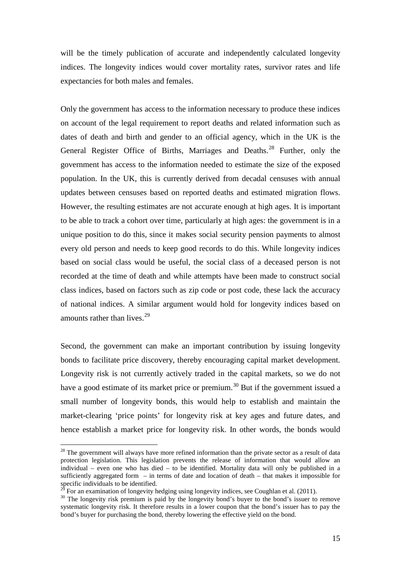will be the timely publication of accurate and independently calculated longevity indices. The longevity indices would cover mortality rates, survivor rates and life expectancies for both males and females.

Only the government has access to the information necessary to produce these indices on account of the legal requirement to report deaths and related information such as dates of death and birth and gender to an official agency, which in the UK is the General Register Office of Births, Marriages and Deaths.<sup>[28](#page-16-0)</sup> Further, only the government has access to the information needed to estimate the size of the exposed population. In the UK, this is currently derived from decadal censuses with annual updates between censuses based on reported deaths and estimated migration flows. However, the resulting estimates are not accurate enough at high ages. It is important to be able to track a cohort over time, particularly at high ages: the government is in a unique position to do this, since it makes social security pension payments to almost every old person and needs to keep good records to do this. While longevity indices based on social class would be useful, the social class of a deceased person is not recorded at the time of death and while attempts have been made to construct social class indices, based on factors such as zip code or post code, these lack the accuracy of national indices. A similar argument would hold for longevity indices based on amounts rather than lives. $29$ 

Second, the government can make an important contribution by issuing longevity bonds to facilitate price discovery, thereby encouraging capital market development. Longevity risk is not currently actively traded in the capital markets, so we do not have a good estimate of its market price or premium.<sup>[30](#page-16-2)</sup> But if the government issued a small number of longevity bonds, this would help to establish and maintain the market-clearing 'price points' for longevity risk at key ages and future dates, and hence establish a market price for longevity risk. In other words, the bonds would

<span id="page-16-0"></span> $28$  The government will always have more refined information than the private sector as a result of data protection legislation. This legislation prevents the release of information that would allow an individual – even one who has died – to be identified. Mortality data will only be published in a sufficiently aggregated form – in terms of date and location of death – that makes it impossible for specific individuals to be identified.<br> $^{29}$  For an examination of longevity hedging using longevity indices, see Coughlan et al. (2011).

<span id="page-16-1"></span>

<span id="page-16-2"></span><sup>&</sup>lt;sup>30</sup> The longevity risk premium is paid by the longevity bond's buyer to the bond's issuer to remove systematic longevity risk. It therefore results in a lower coupon that the bond's issuer has to pay the bond's buyer for purchasing the bond, thereby lowering the effective yield on the bond.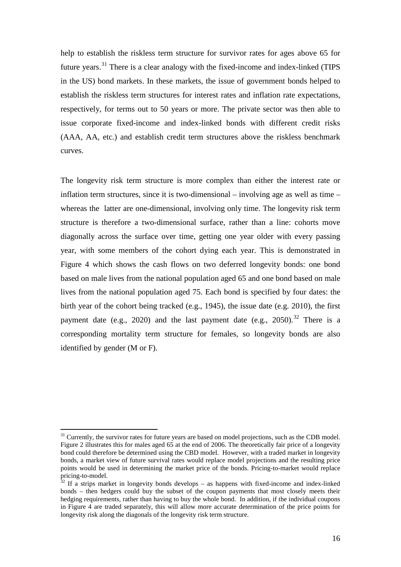help to establish the riskless term structure for survivor rates for ages above 65 for future years.<sup>[31](#page-17-0)</sup> There is a clear analogy with the fixed-income and index-linked (TIPS) in the US) bond markets. In these markets, the issue of government bonds helped to establish the riskless term structures for interest rates and inflation rate expectations, respectively, for terms out to 50 years or more. The private sector was then able to issue corporate fixed-income and index-linked bonds with different credit risks (AAA, AA, etc.) and establish credit term structures above the riskless benchmark curves.

The longevity risk term structure is more complex than either the interest rate or inflation term structures, since it is two-dimensional – involving age as well as time – whereas the latter are one-dimensional, involving only time. The longevity risk term structure is therefore a two-dimensional surface, rather than a line: cohorts move diagonally across the surface over time, getting one year older with every passing year, with some members of the cohort dying each year. This is demonstrated in Figure 4 which shows the cash flows on two deferred longevity bonds: one bond based on male lives from the national population aged 65 and one bond based on male lives from the national population aged 75. Each bond is specified by four dates: the birth year of the cohort being tracked (e.g., 1945), the issue date (e.g. 2010), the first payment date (e.g., 2020) and the last payment date (e.g., 2050).<sup>[32](#page-17-1)</sup> There is a corresponding mortality term structure for females, so longevity bonds are also identified by gender (M or F).

<span id="page-17-0"></span><sup>&</sup>lt;sup>31</sup> Currently, the survivor rates for future years are based on model projections, such as the CDB model. Figure 2 illustrates this for males aged 65 at the end of 2006. The theoretically fair price of a longevity bond could therefore be determined using the CBD model. However, with a traded market in longevity bonds, a market view of future survival rates would replace model projections and the resulting price points would be used in determining the market price of the bonds. Pricing-to-market would replace pricing-to-model.

<span id="page-17-1"></span> $32$  If a strips market in longevity bonds develops – as happens with fixed-income and index-linked bonds – then hedgers could buy the subset of the coupon payments that most closely meets their hedging requirements, rather than having to buy the whole bond. In addition, if the individual coupons in Figure 4 are traded separately, this will allow more accurate determination of the price points for longevity risk along the diagonals of the longevity risk term structure.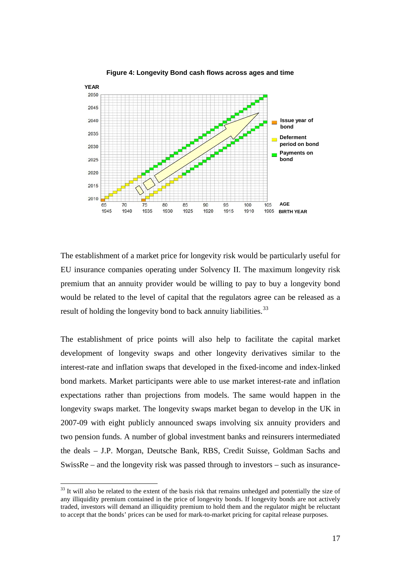

The establishment of a market price for longevity risk would be particularly useful for EU insurance companies operating under Solvency II. The maximum longevity risk premium that an annuity provider would be willing to pay to buy a longevity bond would be related to the level of capital that the regulators agree can be released as a result of holding the longevity bond to back annuity liabilities.<sup>[33](#page-18-0)</sup>

The establishment of price points will also help to facilitate the capital market development of longevity swaps and other longevity derivatives similar to the interest-rate and inflation swaps that developed in the fixed-income and index-linked bond markets. Market participants were able to use market interest-rate and inflation expectations rather than projections from models. The same would happen in the longevity swaps market. The longevity swaps market began to develop in the UK in 2007-09 with eight publicly announced swaps involving six annuity providers and two pension funds. A number of global investment banks and reinsurers intermediated the deals – J.P. Morgan, Deutsche Bank, RBS, Credit Suisse, Goldman Sachs and SwissRe – and the longevity risk was passed through to investors – such as insurance-

<span id="page-18-0"></span><sup>&</sup>lt;sup>33</sup> It will also be related to the extent of the basis risk that remains unhedged and potentially the size of any illiquidity premium contained in the price of longevity bonds. If longevity bonds are not actively traded, investors will demand an illiquidity premium to hold them and the regulator might be reluctant to accept that the bonds' prices can be used for mark-to-market pricing for capital release purposes.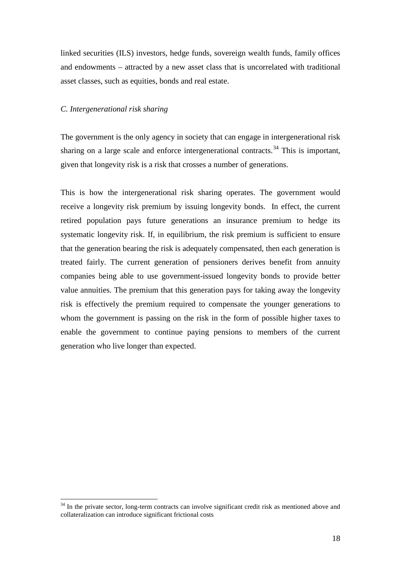linked securities (ILS) investors, hedge funds, sovereign wealth funds, family offices and endowments – attracted by a new asset class that is uncorrelated with traditional asset classes, such as equities, bonds and real estate.

### *C. Intergenerational risk sharing*

The government is the only agency in society that can engage in intergenerational risk sharing on a large scale and enforce intergenerational contracts.<sup>[34](#page-19-0)</sup> This is important, given that longevity risk is a risk that crosses a number of generations.

This is how the intergenerational risk sharing operates. The government would receive a longevity risk premium by issuing longevity bonds. In effect, the current retired population pays future generations an insurance premium to hedge its systematic longevity risk. If, in equilibrium, the risk premium is sufficient to ensure that the generation bearing the risk is adequately compensated, then each generation is treated fairly. The current generation of pensioners derives benefit from annuity companies being able to use government-issued longevity bonds to provide better value annuities. The premium that this generation pays for taking away the longevity risk is effectively the premium required to compensate the younger generations to whom the government is passing on the risk in the form of possible higher taxes to enable the government to continue paying pensions to members of the current generation who live longer than expected.

<span id="page-19-0"></span><sup>&</sup>lt;sup>34</sup> In the private sector, long-term contracts can involve significant credit risk as mentioned above and collateralization can introduce significant frictional costs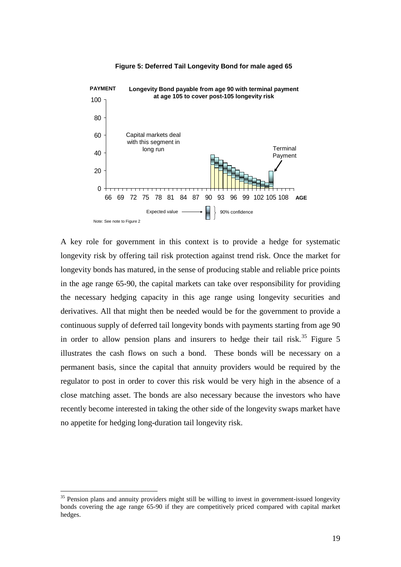

### **Figure 5: Deferred Tail Longevity Bond for male aged 65**

A key role for government in this context is to provide a hedge for systematic longevity risk by offering tail risk protection against trend risk. Once the market for longevity bonds has matured, in the sense of producing stable and reliable price points in the age range 65-90, the capital markets can take over responsibility for providing the necessary hedging capacity in this age range using longevity securities and derivatives. All that might then be needed would be for the government to provide a continuous supply of deferred tail longevity bonds with payments starting from age 90 in order to allow pension plans and insurers to hedge their tail risk.<sup>[35](#page-20-0)</sup> Figure 5 illustrates the cash flows on such a bond. These bonds will be necessary on a permanent basis, since the capital that annuity providers would be required by the regulator to post in order to cover this risk would be very high in the absence of a close matching asset. The bonds are also necessary because the investors who have recently become interested in taking the other side of the longevity swaps market have no appetite for hedging long-duration tail longevity risk.

<span id="page-20-0"></span><sup>&</sup>lt;sup>35</sup> Pension plans and annuity providers might still be willing to invest in government-issued longevity bonds covering the age range 65-90 if they are competitively priced compared with capital market hedges.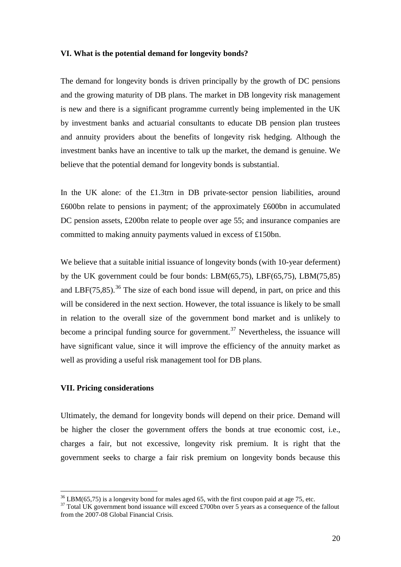### **VI. What is the potential demand for longevity bonds?**

The demand for longevity bonds is driven principally by the growth of DC pensions and the growing maturity of DB plans. The market in DB longevity risk management is new and there is a significant programme currently being implemented in the UK by investment banks and actuarial consultants to educate DB pension plan trustees and annuity providers about the benefits of longevity risk hedging. Although the investment banks have an incentive to talk up the market, the demand is genuine. We believe that the potential demand for longevity bonds is substantial.

In the UK alone: of the £1.3trn in DB private-sector pension liabilities, around £600bn relate to pensions in payment; of the approximately £600bn in accumulated DC pension assets, £200bn relate to people over age 55; and insurance companies are committed to making annuity payments valued in excess of £150bn.

We believe that a suitable initial issuance of longevity bonds (with 10-year deferment) by the UK government could be four bonds: LBM(65,75), LBF(65,75), LBM(75,85) and LBF $(75,85)$ .<sup>[36](#page-21-0)</sup> The size of each bond issue will depend, in part, on price and this will be considered in the next section. However, the total issuance is likely to be small in relation to the overall size of the government bond market and is unlikely to become a principal funding source for government.<sup>[37](#page-21-1)</sup> Nevertheless, the issuance will have significant value, since it will improve the efficiency of the annuity market as well as providing a useful risk management tool for DB plans.

### **VII. Pricing considerations**

Ultimately, the demand for longevity bonds will depend on their price. Demand will be higher the closer the government offers the bonds at true economic cost, i.e., charges a fair, but not excessive, longevity risk premium. It is right that the government seeks to charge a fair risk premium on longevity bonds because this

<span id="page-21-1"></span><span id="page-21-0"></span><sup>&</sup>lt;sup>36</sup> LBM(65,75) is a longevity bond for males aged 65, with the first coupon paid at age 75, etc.<br><sup>37</sup> Total UK government bond issuance will exceed £700bn over 5 years as a consequence of the fallout from the 2007-08 Global Financial Crisis.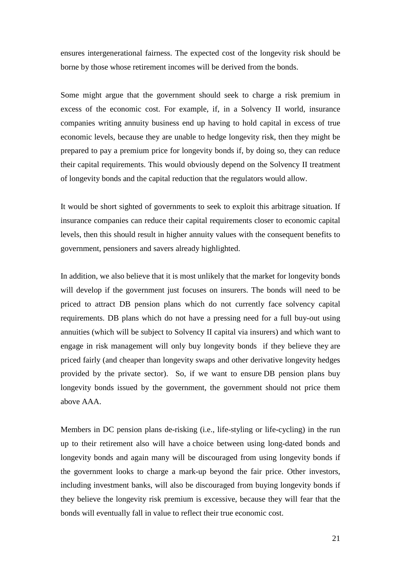ensures intergenerational fairness. The expected cost of the longevity risk should be borne by those whose retirement incomes will be derived from the bonds.

Some might argue that the government should seek to charge a risk premium in excess of the economic cost. For example, if, in a Solvency II world, insurance companies writing annuity business end up having to hold capital in excess of true economic levels, because they are unable to hedge longevity risk, then they might be prepared to pay a premium price for longevity bonds if, by doing so, they can reduce their capital requirements. This would obviously depend on the Solvency II treatment of longevity bonds and the capital reduction that the regulators would allow.

It would be short sighted of governments to seek to exploit this arbitrage situation. If insurance companies can reduce their capital requirements closer to economic capital levels, then this should result in higher annuity values with the consequent benefits to government, pensioners and savers already highlighted.

In addition, we also believe that it is most unlikely that the market for longevity bonds will develop if the government just focuses on insurers. The bonds will need to be priced to attract DB pension plans which do not currently face solvency capital requirements. DB plans which do not have a pressing need for a full buy-out using annuities (which will be subject to Solvency II capital via insurers) and which want to engage in risk management will only buy longevity bonds if they believe they are priced fairly (and cheaper than longevity swaps and other derivative longevity hedges provided by the private sector). So, if we want to ensure DB pension plans buy longevity bonds issued by the government, the government should not price them above AAA.

Members in DC pension plans de-risking (i.e., life-styling or life-cycling) in the run up to their retirement also will have a choice between using long-dated bonds and longevity bonds and again many will be discouraged from using longevity bonds if the government looks to charge a mark-up beyond the fair price. Other investors, including investment banks, will also be discouraged from buying longevity bonds if they believe the longevity risk premium is excessive, because they will fear that the bonds will eventually fall in value to reflect their true economic cost.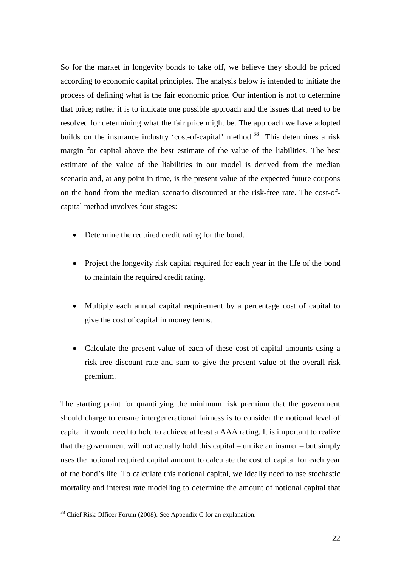So for the market in longevity bonds to take off, we believe they should be priced according to economic capital principles. The analysis below is intended to initiate the process of defining what is the fair economic price. Our intention is not to determine that price; rather it is to indicate one possible approach and the issues that need to be resolved for determining what the fair price might be. The approach we have adopted builds on the insurance industry 'cost-of-capital' method.<sup>38</sup> This determines a risk margin for capital above the best estimate of the value of the liabilities. The best estimate of the value of the liabilities in our model is derived from the median scenario and, at any point in time, is the present value of the expected future coupons on the bond from the median scenario discounted at the risk-free rate. The cost-ofcapital method involves four stages:

- Determine the required credit rating for the bond.
- Project the longevity risk capital required for each year in the life of the bond to maintain the required credit rating.
- Multiply each annual capital requirement by a percentage cost of capital to give the cost of capital in money terms.
- Calculate the present value of each of these cost-of-capital amounts using a risk-free discount rate and sum to give the present value of the overall risk premium.

The starting point for quantifying the minimum risk premium that the government should charge to ensure intergenerational fairness is to consider the notional level of capital it would need to hold to achieve at least a AAA rating. It is important to realize that the government will not actually hold this capital – unlike an insurer – but simply uses the notional required capital amount to calculate the cost of capital for each year of the bond's life. To calculate this notional capital, we ideally need to use stochastic mortality and interest rate modelling to determine the amount of notional capital that

<span id="page-23-0"></span><sup>&</sup>lt;sup>38</sup> Chief Risk Officer Forum (2008). See Appendix C for an explanation.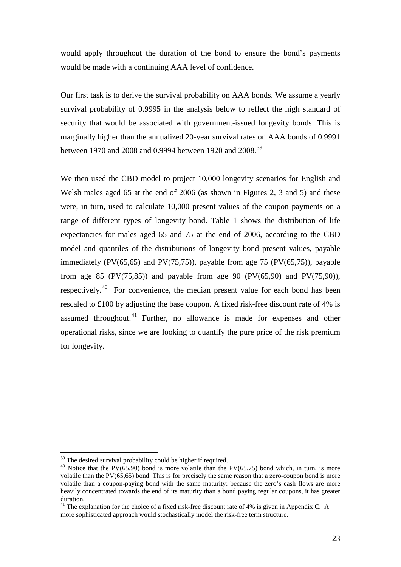would apply throughout the duration of the bond to ensure the bond's payments would be made with a continuing AAA level of confidence.

Our first task is to derive the survival probability on AAA bonds. We assume a yearly survival probability of 0.9995 in the analysis below to reflect the high standard of security that would be associated with government-issued longevity bonds. This is marginally higher than the annualized 20-year survival rates on AAA bonds of 0.9991 between 1970 and 2008 and 0.9994 between 1920 and 2008.<sup>[39](#page-24-0)</sup>

We then used the CBD model to project 10,000 longevity scenarios for English and Welsh males aged 65 at the end of 2006 (as shown in Figures 2, 3 and 5) and these were, in turn, used to calculate 10,000 present values of the coupon payments on a range of different types of longevity bond. Table 1 shows the distribution of life expectancies for males aged 65 and 75 at the end of 2006, according to the CBD model and quantiles of the distributions of longevity bond present values, payable immediately (PV $(65,65)$  and PV $(75,75)$ ), payable from age 75 (PV $(65,75)$ ), payable from age 85 (PV(75,85)) and payable from age 90 (PV(65,90) and PV(75,90)), respectively.<sup>40</sup> For convenience, the median present value for each bond has been rescaled to £100 by adjusting the base coupon. A fixed risk-free discount rate of 4% is assumed throughout. $41$  Further, no allowance is made for expenses and other operational risks, since we are looking to quantify the pure price of the risk premium for longevity.

<span id="page-24-1"></span><span id="page-24-0"></span><sup>&</sup>lt;sup>39</sup> The desired survival probability could be higher if required.<br><sup>40</sup> Notice that the PV(65,90) bond is more volatile than the PV(65,75) bond which, in turn, is more volatile than the PV(65,65) bond. This is for precisely the same reason that a zero-coupon bond is more volatile than a coupon-paying bond with the same maturity: because the zero's cash flows are more heavily concentrated towards the end of its maturity than a bond paying regular coupons, it has greater duration.

<span id="page-24-2"></span> $41$ <sup>41</sup> The explanation for the choice of a fixed risk-free discount rate of 4% is given in Appendix C. A more sophisticated approach would stochastically model the risk-free term structure.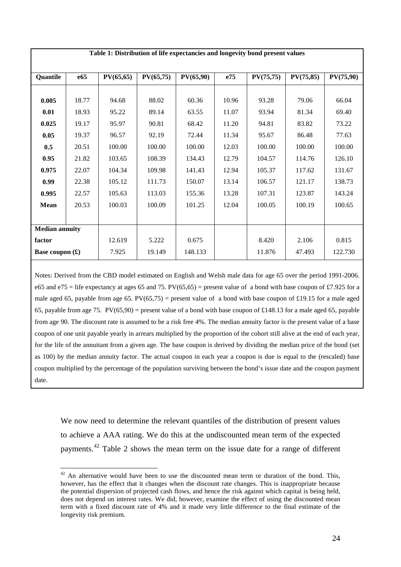|                                                    |       |            |           |           |       | <b>Table 1: Distribution of the expectancies and longevity bond present values</b> |            |           |
|----------------------------------------------------|-------|------------|-----------|-----------|-------|------------------------------------------------------------------------------------|------------|-----------|
| Quantile                                           | e65   | PV(65, 65) | PV(65,75) | PV(65,90) | e75   | PV(75,75)                                                                          | PV(75, 85) | PV(75,90) |
|                                                    |       |            |           |           |       |                                                                                    |            |           |
| 0.005                                              | 18.77 | 94.68      | 88.02     | 60.36     | 10.96 | 93.28                                                                              | 79.06      | 66.04     |
| 0.01                                               | 18.93 | 95.22      | 89.14     | 63.55     | 11.07 | 93.94                                                                              | 81.34      | 69.40     |
| 0.025                                              | 19.17 | 95.97      | 90.81     | 68.42     | 11.20 | 94.81                                                                              | 83.82      | 73.22     |
| 0.05                                               | 19.37 | 96.57      | 92.19     | 72.44     | 11.34 | 95.67                                                                              | 86.48      | 77.63     |
| 0.5                                                | 20.51 | 100.00     | 100.00    | 100.00    | 12.03 | 100.00                                                                             | 100.00     | 100.00    |
| 0.95                                               | 21.82 | 103.65     | 108.39    | 134.43    | 12.79 | 104.57                                                                             | 114.76     | 126.10    |
| 0.975                                              | 22.07 | 104.34     | 109.98    | 141.43    | 12.94 | 105.37                                                                             | 117.62     | 131.67    |
| 0.99                                               | 22.38 | 105.12     | 111.73    | 150.07    | 13.14 | 106.57                                                                             | 121.17     | 138.73    |
| 0.995                                              | 22.57 | 105.63     | 113.03    | 155.36    | 13.28 | 107.31                                                                             | 123.87     | 143.24    |
| <b>Mean</b>                                        | 20.53 | 100.03     | 100.09    | 101.25    | 12.04 | 100.05                                                                             | 100.19     | 100.65    |
|                                                    |       |            |           |           |       |                                                                                    |            |           |
| <b>Median annuity</b>                              |       |            |           |           |       |                                                                                    |            |           |
| factor                                             |       | 12.619     | 5.222     | 0.675     |       | 8.420                                                                              | 2.106      | 0.815     |
| <b>Base coupon <math>(\mathbf{\pounds})</math></b> |       | 7.925      | 19.149    | 148.133   |       | 11.876                                                                             | 47.493     | 122.730   |

Table 1: Distribution of life expectancies and longevity bond **p** 

Notes: Derived from the CBD model estimated on English and Welsh male data for age 65 over the period 1991-2006. e65 and e75 = life expectancy at ages 65 and 75. PV(65,65) = present value of a bond with base coupon of £7.925 for a male aged 65, payable from age 65. PV(65,75) = present value of a bond with base coupon of £19.15 for a male aged 65, payable from age 75.  $PV(65,90)$  = present value of a bond with base coupon of £148.13 for a male aged 65, payable from age 90. The discount rate is assumed to be a risk free 4%. The median annuity factor is the present value of a base coupon of one unit payable yearly in arrears multiplied by the proportion of the cohort still alive at the end of each year, for the life of the annuitant from a given age. The base coupon is derived by dividing the median price of the bond (set as 100) by the median annuity factor. The actual coupon in each year a coupon is due is equal to the (rescaled) base coupon multiplied by the percentage of the population surviving between the bond's issue date and the coupon payment date.

We now need to determine the relevant quantiles of the distribution of present values to achieve a AAA rating. We do this at the undiscounted mean term of the expected payments.<sup>[42](#page-25-0)</sup> Table 2 shows the mean term on the issue date for a range of different

<span id="page-25-0"></span> $42$  An alternative would have been to use the discounted mean term or duration of the bond. This, however, has the effect that it changes when the discount rate changes. This is inappropriate because the potential dispersion of projected cash flows, and hence the risk against which capital is being held, does not depend on interest rates. We did, however, examine the effect of using the discounted mean term with a fixed discount rate of 4% and it made very little difference to the final estimate of the longevity risk premium.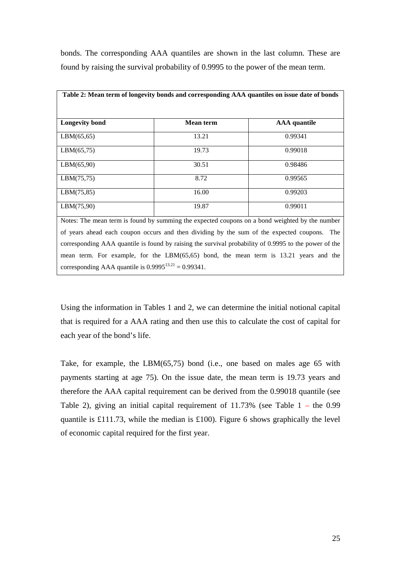bonds. The corresponding AAA quantiles are shown in the last column. These are found by raising the survival probability of 0.9995 to the power of the mean term.

**Table 2: Mean term of longevity bonds and corresponding AAA quantiles on issue date of bonds**

| <b>Longevity bond</b> | <b>Mean term</b>                                                                                      | <b>AAA</b> quantile |
|-----------------------|-------------------------------------------------------------------------------------------------------|---------------------|
| LBM(65,65)            | 13.21                                                                                                 | 0.99341             |
| LBM(65,75)            | 19.73                                                                                                 | 0.99018             |
| LBM(65,90)            | 30.51                                                                                                 | 0.98486             |
| LBM(75,75)            | 8.72                                                                                                  | 0.99565             |
| LBM(75,85)            | 16.00                                                                                                 | 0.99203             |
| LBM(75,90)            | 19.87                                                                                                 | 0.99011             |
|                       | Notes: The mean term is found by summing the expected coupons on a bond weighted by the number        |                     |
|                       | of years ahead each coupon occurs and then dividing by the sum of the expected coupons.               | The                 |
|                       | corresponding AAA quantile is found by raising the survival probability of 0.9995 to the power of the |                     |
|                       | mean term. For example, for the LBM(65,65) bond, the mean term is 13.21 years and the                 |                     |

corresponding AAA quantile is  $0.9995^{13.21} = 0.99341$ .

Using the information in Tables 1 and 2, we can determine the initial notional capital that is required for a AAA rating and then use this to calculate the cost of capital for each year of the bond's life.

Take, for example, the LBM(65,75) bond (i.e., one based on males age 65 with payments starting at age 75). On the issue date, the mean term is 19.73 years and therefore the AAA capital requirement can be derived from the 0.99018 quantile (see Table 2), giving an initial capital requirement of 11.73% (see Table 1 – the 0.99 quantile is £111.73, while the median is £100). Figure 6 shows graphically the level of economic capital required for the first year.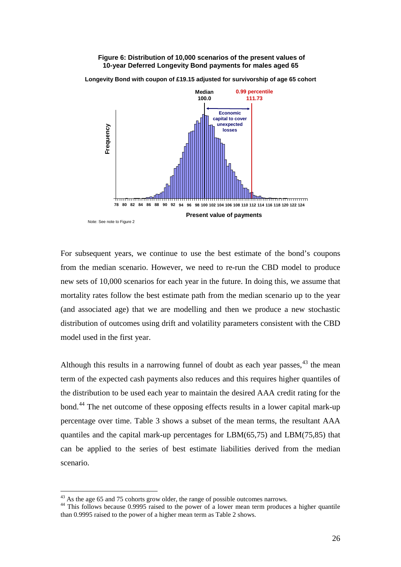### **Figure 6: Distribution of 10,000 scenarios of the present values of 10-year Deferred Longevity Bond payments for males aged 65**



**Longevity Bond with coupon of £19.15 adjusted for survivorship of age 65 cohort**

For subsequent years, we continue to use the best estimate of the bond's coupons from the median scenario. However, we need to re-run the CBD model to produce new sets of 10,000 scenarios for each year in the future. In doing this, we assume that mortality rates follow the best estimate path from the median scenario up to the year (and associated age) that we are modelling and then we produce a new stochastic distribution of outcomes using drift and volatility parameters consistent with the CBD model used in the first year.

Although this results in a narrowing funnel of doubt as each year passes. $43$  the mean term of the expected cash payments also reduces and this requires higher quantiles of the distribution to be used each year to maintain the desired AAA credit rating for the bond.<sup>[44](#page-27-1)</sup> The net outcome of these opposing effects results in a lower capital mark-up percentage over time. Table 3 shows a subset of the mean terms, the resultant AAA quantiles and the capital mark-up percentages for  $LEM(65,75)$  and  $LBM(75,85)$  that can be applied to the series of best estimate liabilities derived from the median scenario.

<span id="page-27-1"></span><span id="page-27-0"></span><sup>&</sup>lt;sup>43</sup> As the age 65 and 75 cohorts grow older, the range of possible outcomes narrows.<br><sup>44</sup> This follows because 0.9995 raised to the power of a lower mean term produces a higher quantile than 0.9995 raised to the power of a higher mean term as Table 2 shows.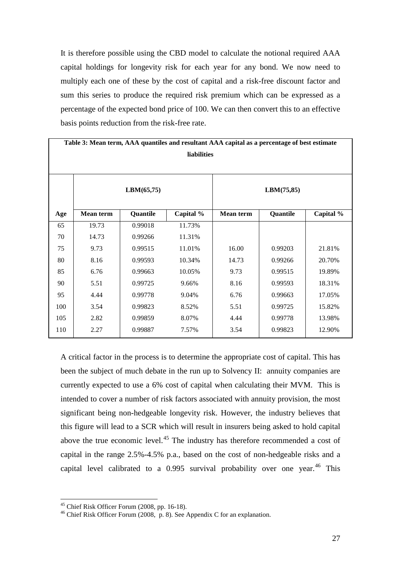It is therefore possible using the CBD model to calculate the notional required AAA capital holdings for longevity risk for each year for any bond. We now need to multiply each one of these by the cost of capital and a risk-free discount factor and sum this series to produce the required risk premium which can be expressed as a percentage of the expected bond price of 100. We can then convert this to an effective basis points reduction from the risk-free rate.

| Table 3: Mean term, AAA quantiles and resultant AAA capital as a percentage of best estimate<br>liabilities |                  |          |           |                  |          |           |
|-------------------------------------------------------------------------------------------------------------|------------------|----------|-----------|------------------|----------|-----------|
|                                                                                                             |                  |          |           |                  |          |           |
|                                                                                                             | LBM(65,75)       |          |           | LBM(75, 85)      |          |           |
| Age                                                                                                         | <b>Mean term</b> | Quantile | Capital % | <b>Mean term</b> | Quantile | Capital % |
| 65                                                                                                          | 19.73            | 0.99018  | 11.73%    |                  |          |           |
| 70                                                                                                          | 14.73            | 0.99266  | 11.31%    |                  |          |           |
| 75                                                                                                          | 9.73             | 0.99515  | 11.01%    | 16.00            | 0.99203  | 21.81%    |
| 80                                                                                                          | 8.16             | 0.99593  | 10.34%    | 14.73            | 0.99266  | 20.70%    |
| 85                                                                                                          | 6.76             | 0.99663  | 10.05%    | 9.73             | 0.99515  | 19.89%    |
| 90                                                                                                          | 5.51             | 0.99725  | 9.66%     | 8.16             | 0.99593  | 18.31%    |
| 95                                                                                                          | 4.44             | 0.99778  | 9.04%     | 6.76             | 0.99663  | 17.05%    |
| 100                                                                                                         | 3.54             | 0.99823  | 8.52%     | 5.51             | 0.99725  | 15.82%    |
| 105                                                                                                         | 2.82             | 0.99859  | 8.07%     | 4.44             | 0.99778  | 13.98%    |
| 110                                                                                                         | 2.27             | 0.99887  | 7.57%     | 3.54             | 0.99823  | 12.90%    |

A critical factor in the process is to determine the appropriate cost of capital. This has been the subject of much debate in the run up to Solvency II: annuity companies are currently expected to use a 6% cost of capital when calculating their MVM. This is intended to cover a number of risk factors associated with annuity provision, the most significant being non-hedgeable longevity risk. However, the industry believes that this figure will lead to a SCR which will result in insurers being asked to hold capital above the true economic level.<sup>[45](#page-28-0)</sup> The industry has therefore recommended a cost of capital in the range 2.5%-4.5% p.a., based on the cost of non-hedgeable risks and a capital level calibrated to a  $0.995$  survival probability over one year.<sup>[46](#page-28-1)</sup> This

<span id="page-28-0"></span> <sup>45</sup> Chief Risk Officer Forum (2008, pp. 16-18).

<span id="page-28-1"></span><sup>&</sup>lt;sup>46</sup> Chief Risk Officer Forum (2008, p. 8). See Appendix C for an explanation.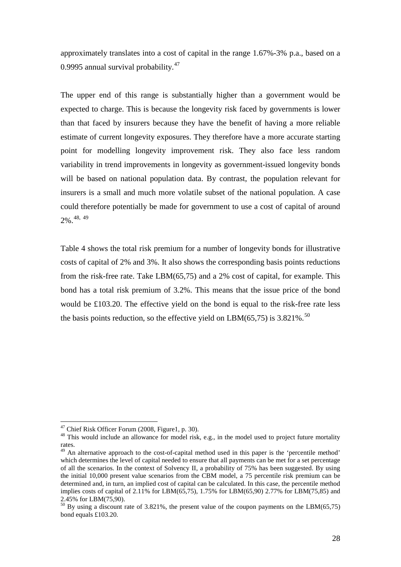approximately translates into a cost of capital in the range 1.67%-3% p.a., based on a 0.9995 annual survival probability.<sup>[47](#page-29-0)</sup>

The upper end of this range is substantially higher than a government would be expected to charge. This is because the longevity risk faced by governments is lower than that faced by insurers because they have the benefit of having a more reliable estimate of current longevity exposures. They therefore have a more accurate starting point for modelling longevity improvement risk. They also face less random variability in trend improvements in longevity as government-issued longevity bonds will be based on national population data. By contrast, the population relevant for insurers is a small and much more volatile subset of the national population. A case could therefore potentially be made for government to use a cost of capital of around 2%.[48,](#page-29-1) [49](#page-29-2)

Table 4 shows the total risk premium for a number of longevity bonds for illustrative costs of capital of 2% and 3%. It also shows the corresponding basis points reductions from the risk-free rate. Take LBM(65,75) and a 2% cost of capital, for example. This bond has a total risk premium of 3.2%. This means that the issue price of the bond would be £103.20. The effective yield on the bond is equal to the risk-free rate less the basis points reduction, so the effective yield on LBM(65,75) is  $3.821\%$ .<sup>[50](#page-29-3)</sup>

<span id="page-29-1"></span><span id="page-29-0"></span><sup>&</sup>lt;sup>47</sup> Chief Risk Officer Forum (2008, Figure1, p. 30).  $48$  This would include an allowance for model risk, e.g., in the model used to project future mortality rates.

<span id="page-29-2"></span> $49$  An alternative approach to the cost-of-capital method used in this paper is the 'percentile method' which determines the level of capital needed to ensure that all payments can be met for a set percentage of all the scenarios. In the context of Solvency II, a probability of 75% has been suggested. By using the initial 10,000 present value scenarios from the CBM model, a 75 percentile risk premium can be determined and, in turn, an implied cost of capital can be calculated. In this case, the percentile method implies costs of capital of 2.11% for LBM(65,75), 1.75% for LBM(65,90) 2.77% for LBM(75,85) and

<span id="page-29-3"></span><sup>2.45%</sup> for LBM(75,90).  $50$  By using a discount rate of 3.821%, the present value of the coupon payments on the LBM(65,75) bond equals £103.20.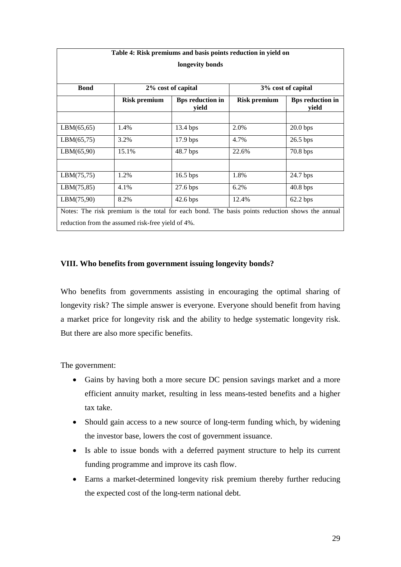| Table 4: Risk premiums and basis points reduction in yield on                                                                                        |                     |                                  |                     |                                  |  |  |
|------------------------------------------------------------------------------------------------------------------------------------------------------|---------------------|----------------------------------|---------------------|----------------------------------|--|--|
| longevity bonds                                                                                                                                      |                     |                                  |                     |                                  |  |  |
|                                                                                                                                                      |                     |                                  |                     |                                  |  |  |
| <b>Bond</b>                                                                                                                                          |                     | 2% cost of capital               | 3% cost of capital  |                                  |  |  |
|                                                                                                                                                      | <b>Risk premium</b> | <b>Bps reduction in</b><br>yield | <b>Risk premium</b> | <b>Bps reduction in</b><br>yield |  |  |
|                                                                                                                                                      |                     |                                  |                     |                                  |  |  |
| LBM(65, 65)                                                                                                                                          | 1.4%                | 13.4 bps                         | 2.0%                | $20.0$ bps                       |  |  |
| LBM(65,75)                                                                                                                                           | 3.2%                | 17.9 <sub>bps</sub>              | 4.7%                | $26.5$ bps                       |  |  |
| LBM(65,90)                                                                                                                                           | 15.1%               | 48.7 bps                         | 22.6%               | 70.8 bps                         |  |  |
|                                                                                                                                                      |                     |                                  |                     |                                  |  |  |
| LBM(75,75)                                                                                                                                           | 1.2%                | 16.5 bps                         | 1.8%                | 24.7 bps                         |  |  |
| LBM(75,85)                                                                                                                                           | 4.1%                | $27.6$ bps                       | 6.2%                | $40.8$ bps                       |  |  |
| LBM(75,90)                                                                                                                                           | 8.2%                | $42.6 \text{ bps}$               | 12.4%               | $62.2$ bps                       |  |  |
| Notes: The risk premium is the total for each bond. The basis points reduction shows the annual<br>reduction from the assumed risk-free yield of 4%. |                     |                                  |                     |                                  |  |  |

### **VIII. Who benefits from government issuing longevity bonds?**

Who benefits from governments assisting in encouraging the optimal sharing of longevity risk? The simple answer is everyone. Everyone should benefit from having a market price for longevity risk and the ability to hedge systematic longevity risk. But there are also more specific benefits.

The government:

- Gains by having both a more secure DC pension savings market and a more efficient annuity market, resulting in less means-tested benefits and a higher tax take.
- Should gain access to a new source of long-term funding which, by widening the investor base, lowers the cost of government issuance.
- Is able to issue bonds with a deferred payment structure to help its current funding programme and improve its cash flow.
- Earns a market-determined longevity risk premium thereby further reducing the expected cost of the long-term national debt.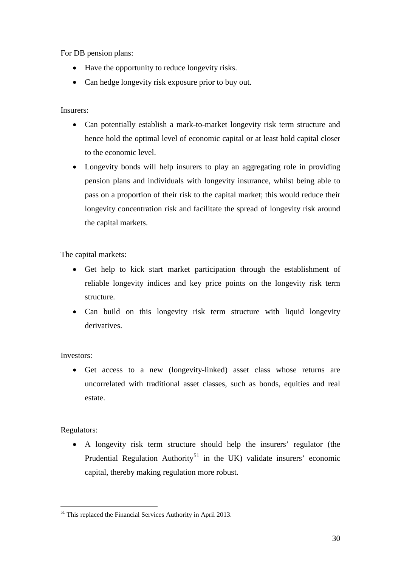For DB pension plans:

- Have the opportunity to reduce longevity risks.
- Can hedge longevity risk exposure prior to buy out.

Insurers:

- Can potentially establish a mark-to-market longevity risk term structure and hence hold the optimal level of economic capital or at least hold capital closer to the economic level.
- Longevity bonds will help insurers to play an aggregating role in providing pension plans and individuals with longevity insurance, whilst being able to pass on a proportion of their risk to the capital market; this would reduce their longevity concentration risk and facilitate the spread of longevity risk around the capital markets.

The capital markets:

- Get help to kick start market participation through the establishment of reliable longevity indices and key price points on the longevity risk term structure.
- Can build on this longevity risk term structure with liquid longevity derivatives.

### Investors:

• Get access to a new (longevity-linked) asset class whose returns are uncorrelated with traditional asset classes, such as bonds, equities and real estate.

Regulators:

• A longevity risk term structure should help the insurers' regulator (the Prudential Regulation Authority<sup>[51](#page-31-0)</sup> in the UK) validate insurers' economic capital, thereby making regulation more robust.

<span id="page-31-0"></span><sup>&</sup>lt;sup>51</sup> This replaced the Financial Services Authority in April 2013.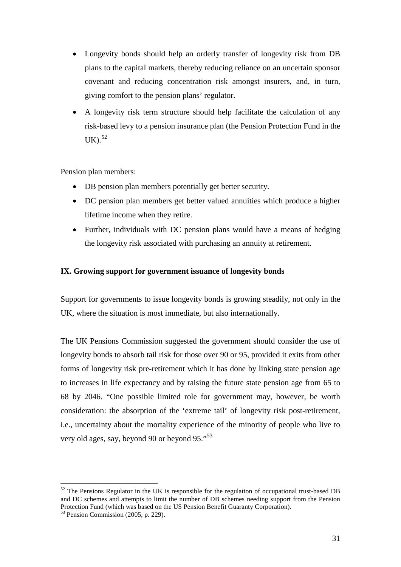- Longevity bonds should help an orderly transfer of longevity risk from DB plans to the capital markets, thereby reducing reliance on an uncertain sponsor covenant and reducing concentration risk amongst insurers, and, in turn, giving comfort to the pension plans' regulator.
- A longevity risk term structure should help facilitate the calculation of any risk-based levy to a pension insurance plan (the Pension Protection Fund in the  $UK).$ <sup>[52](#page-32-0)</sup>

Pension plan members:

- DB pension plan members potentially get better security.
- DC pension plan members get better valued annuities which produce a higher lifetime income when they retire.
- Further, individuals with DC pension plans would have a means of hedging the longevity risk associated with purchasing an annuity at retirement.

### **IX. Growing support for government issuance of longevity bonds**

Support for governments to issue longevity bonds is growing steadily, not only in the UK, where the situation is most immediate, but also internationally.

The UK Pensions Commission suggested the government should consider the use of longevity bonds to absorb tail risk for those over 90 or 95, provided it exits from other forms of longevity risk pre-retirement which it has done by linking state pension age to increases in life expectancy and by raising the future state pension age from 65 to 68 by 2046. "One possible limited role for government may, however, be worth consideration: the absorption of the 'extreme tail' of longevity risk post-retirement, i.e., uncertainty about the mortality experience of the minority of people who live to very old ages, say, beyond 90 or beyond 95."[53](#page-32-1)

<span id="page-32-0"></span> $52$  The Pensions Regulator in the UK is responsible for the regulation of occupational trust-based DB and DC schemes and attempts to limit the number of DB schemes needing support from the Pension Protection Fund (which was based on the US Pension Benefit Guaranty Corporation). 53 Pension Commission (2005, p. 229).

<span id="page-32-1"></span>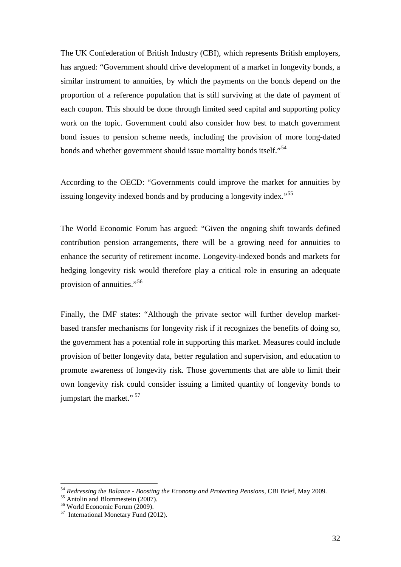The UK Confederation of British Industry (CBI), which represents British employers, has argued: "Government should drive development of a market in longevity bonds, a similar instrument to annuities, by which the payments on the bonds depend on the proportion of a reference population that is still surviving at the date of payment of each coupon. This should be done through limited seed capital and supporting policy work on the topic. Government could also consider how best to match government bond issues to pension scheme needs, including the provision of more long-dated bonds and whether government should issue mortality bonds itself."<sup>[54](#page-33-0)</sup>

According to the OECD: "Governments could improve the market for annuities by issuing longevity indexed bonds and by producing a longevity index."[55](#page-33-1)

The World Economic Forum has argued: "Given the ongoing shift towards defined contribution pension arrangements, there will be a growing need for annuities to enhance the security of retirement income. Longevity-indexed bonds and markets for hedging longevity risk would therefore play a critical role in ensuring an adequate provision of annuities."[56](#page-33-2)

Finally, the IMF states: "Although the private sector will further develop marketbased transfer mechanisms for longevity risk if it recognizes the benefits of doing so, the government has a potential role in supporting this market. Measures could include provision of better longevity data, better regulation and supervision, and education to promote awareness of longevity risk. Those governments that are able to limit their own longevity risk could consider issuing a limited quantity of longevity bonds to jumpstart the market."<sup>[57](#page-33-3)</sup>

<span id="page-33-1"></span><span id="page-33-0"></span><sup>&</sup>lt;sup>54</sup> *Redressing the Balance - Boosting the Economy and Protecting Pensions, CBI Brief, May 2009.*<br><sup>55</sup> Antolin and Blommestein (2007).<br><sup>56</sup> World Economic Forum (2009).<br><sup>57</sup> International Monetary Fund (2012).

<span id="page-33-2"></span>

<span id="page-33-3"></span>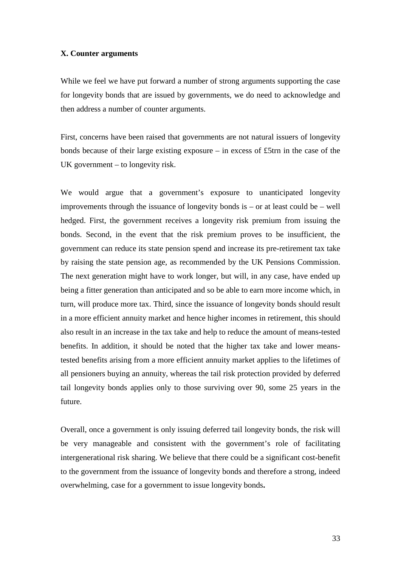### **X. Counter arguments**

While we feel we have put forward a number of strong arguments supporting the case for longevity bonds that are issued by governments, we do need to acknowledge and then address a number of counter arguments.

First, concerns have been raised that governments are not natural issuers of longevity bonds because of their large existing exposure – in excess of £5trn in the case of the UK government – to longevity risk.

We would argue that a government's exposure to unanticipated longevity improvements through the issuance of longevity bonds is – or at least could be – well hedged. First, the government receives a longevity risk premium from issuing the bonds. Second, in the event that the risk premium proves to be insufficient, the government can reduce its state pension spend and increase its pre-retirement tax take by raising the state pension age, as recommended by the UK Pensions Commission. The next generation might have to work longer, but will, in any case, have ended up being a fitter generation than anticipated and so be able to earn more income which, in turn, will produce more tax. Third, since the issuance of longevity bonds should result in a more efficient annuity market and hence higher incomes in retirement, this should also result in an increase in the tax take and help to reduce the amount of means-tested benefits. In addition, it should be noted that the higher tax take and lower meanstested benefits arising from a more efficient annuity market applies to the lifetimes of all pensioners buying an annuity, whereas the tail risk protection provided by deferred tail longevity bonds applies only to those surviving over 90, some 25 years in the future.

Overall, once a government is only issuing deferred tail longevity bonds, the risk will be very manageable and consistent with the government's role of facilitating intergenerational risk sharing. We believe that there could be a significant cost-benefit to the government from the issuance of longevity bonds and therefore a strong, indeed overwhelming, case for a government to issue longevity bonds**.**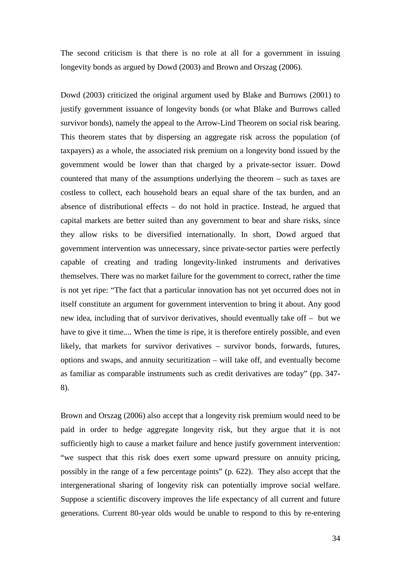The second criticism is that there is no role at all for a government in issuing longevity bonds as argued by Dowd (2003) and Brown and Orszag (2006).

Dowd (2003) criticized the original argument used by Blake and Burrows (2001) to justify government issuance of longevity bonds (or what Blake and Burrows called survivor bonds), namely the appeal to the Arrow-Lind Theorem on social risk bearing. This theorem states that by dispersing an aggregate risk across the population (of taxpayers) as a whole, the associated risk premium on a longevity bond issued by the government would be lower than that charged by a private-sector issuer. Dowd countered that many of the assumptions underlying the theorem – such as taxes are costless to collect, each household bears an equal share of the tax burden, and an absence of distributional effects – do not hold in practice. Instead, he argued that capital markets are better suited than any government to bear and share risks, since they allow risks to be diversified internationally. In short, Dowd argued that government intervention was unnecessary, since private-sector parties were perfectly capable of creating and trading longevity-linked instruments and derivatives themselves. There was no market failure for the government to correct, rather the time is not yet ripe: "The fact that a particular innovation has not yet occurred does not in itself constitute an argument for government intervention to bring it about. Any good new idea, including that of survivor derivatives, should eventually take off – but we have to give it time.... When the time is ripe, it is therefore entirely possible, and even likely, that markets for survivor derivatives – survivor bonds, forwards, futures, options and swaps, and annuity securitization – will take off, and eventually become as familiar as comparable instruments such as credit derivatives are today" (pp. 347- 8).

Brown and Orszag (2006) also accept that a longevity risk premium would need to be paid in order to hedge aggregate longevity risk, but they argue that it is not sufficiently high to cause a market failure and hence justify government intervention: "we suspect that this risk does exert some upward pressure on annuity pricing, possibly in the range of a few percentage points" (p. 622). They also accept that the intergenerational sharing of longevity risk can potentially improve social welfare. Suppose a scientific discovery improves the life expectancy of all current and future generations. Current 80-year olds would be unable to respond to this by re-entering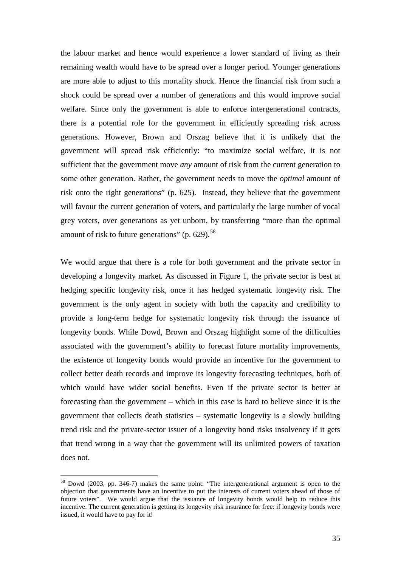the labour market and hence would experience a lower standard of living as their remaining wealth would have to be spread over a longer period. Younger generations are more able to adjust to this mortality shock. Hence the financial risk from such a shock could be spread over a number of generations and this would improve social welfare. Since only the government is able to enforce intergenerational contracts, there is a potential role for the government in efficiently spreading risk across generations. However, Brown and Orszag believe that it is unlikely that the government will spread risk efficiently: "to maximize social welfare, it is not sufficient that the government move *any* amount of risk from the current generation to some other generation. Rather, the government needs to move the *optimal* amount of risk onto the right generations" (p. 625). Instead, they believe that the government will favour the current generation of voters, and particularly the large number of vocal grey voters, over generations as yet unborn, by transferring "more than the optimal amount of risk to future generations" (p.  $629$ ).<sup>[58](#page-36-0)</sup>

We would argue that there is a role for both government and the private sector in developing a longevity market. As discussed in Figure 1, the private sector is best at hedging specific longevity risk, once it has hedged systematic longevity risk. The government is the only agent in society with both the capacity and credibility to provide a long-term hedge for systematic longevity risk through the issuance of longevity bonds. While Dowd, Brown and Orszag highlight some of the difficulties associated with the government's ability to forecast future mortality improvements, the existence of longevity bonds would provide an incentive for the government to collect better death records and improve its longevity forecasting techniques, both of which would have wider social benefits. Even if the private sector is better at forecasting than the government – which in this case is hard to believe since it is the government that collects death statistics – systematic longevity is a slowly building trend risk and the private-sector issuer of a longevity bond risks insolvency if it gets that trend wrong in a way that the government will its unlimited powers of taxation does not.

<span id="page-36-0"></span> <sup>58</sup> Dowd (2003, pp. 346-7) makes the same point: "The intergenerational argument is open to the objection that governments have an incentive to put the interests of current voters ahead of those of future voters". We would argue that the issuance of longevity bonds would help to reduce this incentive. The current generation is getting its longevity risk insurance for free: if longevity bonds were issued, it would have to pay for it!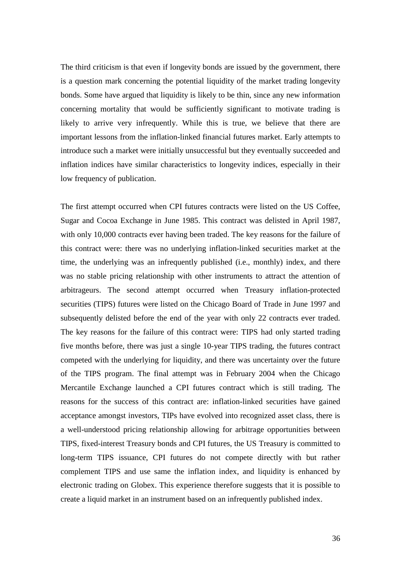The third criticism is that even if longevity bonds are issued by the government, there is a question mark concerning the potential liquidity of the market trading longevity bonds. Some have argued that liquidity is likely to be thin, since any new information concerning mortality that would be sufficiently significant to motivate trading is likely to arrive very infrequently. While this is true, we believe that there are important lessons from the inflation-linked financial futures market. Early attempts to introduce such a market were initially unsuccessful but they eventually succeeded and inflation indices have similar characteristics to longevity indices, especially in their low frequency of publication.

The first attempt occurred when CPI futures contracts were listed on the US Coffee, Sugar and Cocoa Exchange in June 1985. This contract was delisted in April 1987, with only 10,000 contracts ever having been traded. The key reasons for the failure of this contract were: there was no underlying inflation-linked securities market at the time, the underlying was an infrequently published (i.e., monthly) index, and there was no stable pricing relationship with other instruments to attract the attention of arbitrageurs. The second attempt occurred when Treasury inflation-protected securities (TIPS) futures were listed on the Chicago Board of Trade in June 1997 and subsequently delisted before the end of the year with only 22 contracts ever traded. The key reasons for the failure of this contract were: TIPS had only started trading five months before, there was just a single 10-year TIPS trading, the futures contract competed with the underlying for liquidity, and there was uncertainty over the future of the TIPS program. The final attempt was in February 2004 when the Chicago Mercantile Exchange launched a CPI futures contract which is still trading. The reasons for the success of this contract are: inflation-linked securities have gained acceptance amongst investors, TIPs have evolved into recognized asset class, there is a well-understood pricing relationship allowing for arbitrage opportunities between TIPS, fixed-interest Treasury bonds and CPI futures, the US Treasury is committed to long-term TIPS issuance, CPI futures do not compete directly with but rather complement TIPS and use same the inflation index, and liquidity is enhanced by electronic trading on Globex. This experience therefore suggests that it is possible to create a liquid market in an instrument based on an infrequently published index.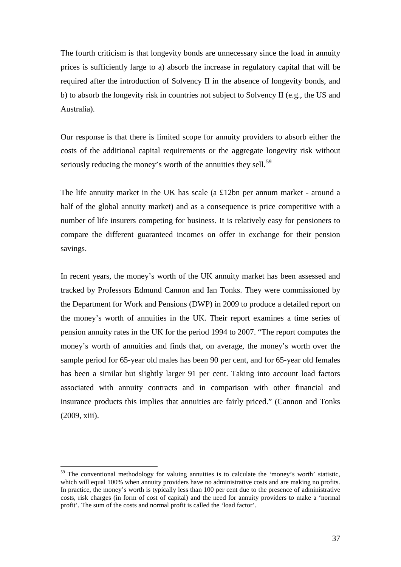The fourth criticism is that longevity bonds are unnecessary since the load in annuity prices is sufficiently large to a) absorb the increase in regulatory capital that will be required after the introduction of Solvency II in the absence of longevity bonds, and b) to absorb the longevity risk in countries not subject to Solvency II (e.g., the US and Australia).

Our response is that there is limited scope for annuity providers to absorb either the costs of the additional capital requirements or the aggregate longevity risk without seriously reducing the money's worth of the annuities they sell.<sup>[59](#page-38-0)</sup>

The life annuity market in the UK has scale (a £12bn per annum market - around a half of the global annuity market) and as a consequence is price competitive with a number of life insurers competing for business. It is relatively easy for pensioners to compare the different guaranteed incomes on offer in exchange for their pension savings.

In recent years, the money's worth of the UK annuity market has been assessed and tracked by Professors Edmund Cannon and Ian Tonks. They were commissioned by the Department for Work and Pensions (DWP) in 2009 to produce a detailed report on the money's worth of annuities in the UK. Their report examines a time series of pension annuity rates in the UK for the period 1994 to 2007. "The report computes the money's worth of annuities and finds that, on average, the money's worth over the sample period for 65-year old males has been 90 per cent, and for 65-year old females has been a similar but slightly larger 91 per cent. Taking into account load factors associated with annuity contracts and in comparison with other financial and insurance products this implies that annuities are fairly priced." (Cannon and Tonks (2009, xiii).

<span id="page-38-0"></span><sup>&</sup>lt;sup>59</sup> The conventional methodology for valuing annuities is to calculate the 'money's worth' statistic, which will equal 100% when annuity providers have no administrative costs and are making no profits. In practice, the money's worth is typically less than 100 per cent due to the presence of administrative costs, risk charges (in form of cost of capital) and the need for annuity providers to make a 'normal profit'. The sum of the costs and normal profit is called the 'load factor'.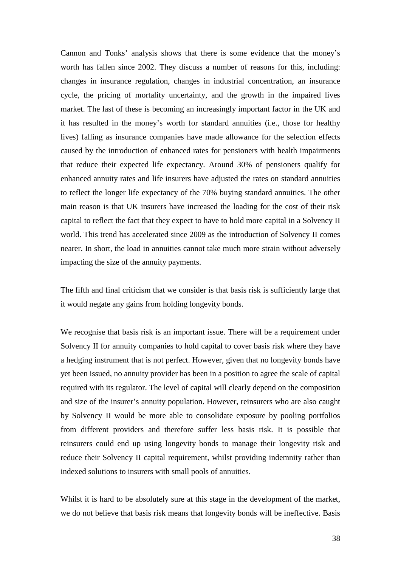Cannon and Tonks' analysis shows that there is some evidence that the money's worth has fallen since 2002. They discuss a number of reasons for this, including: changes in insurance regulation, changes in industrial concentration, an insurance cycle, the pricing of mortality uncertainty, and the growth in the impaired lives market. The last of these is becoming an increasingly important factor in the UK and it has resulted in the money's worth for standard annuities (i.e., those for healthy lives) falling as insurance companies have made allowance for the selection effects caused by the introduction of enhanced rates for pensioners with health impairments that reduce their expected life expectancy. Around 30% of pensioners qualify for enhanced annuity rates and life insurers have adjusted the rates on standard annuities to reflect the longer life expectancy of the 70% buying standard annuities. The other main reason is that UK insurers have increased the loading for the cost of their risk capital to reflect the fact that they expect to have to hold more capital in a Solvency II world. This trend has accelerated since 2009 as the introduction of Solvency II comes nearer. In short, the load in annuities cannot take much more strain without adversely impacting the size of the annuity payments.

The fifth and final criticism that we consider is that basis risk is sufficiently large that it would negate any gains from holding longevity bonds.

We recognise that basis risk is an important issue. There will be a requirement under Solvency II for annuity companies to hold capital to cover basis risk where they have a hedging instrument that is not perfect. However, given that no longevity bonds have yet been issued, no annuity provider has been in a position to agree the scale of capital required with its regulator. The level of capital will clearly depend on the composition and size of the insurer's annuity population. However, reinsurers who are also caught by Solvency II would be more able to consolidate exposure by pooling portfolios from different providers and therefore suffer less basis risk. It is possible that reinsurers could end up using longevity bonds to manage their longevity risk and reduce their Solvency II capital requirement, whilst providing indemnity rather than indexed solutions to insurers with small pools of annuities.

Whilst it is hard to be absolutely sure at this stage in the development of the market, we do not believe that basis risk means that longevity bonds will be ineffective. Basis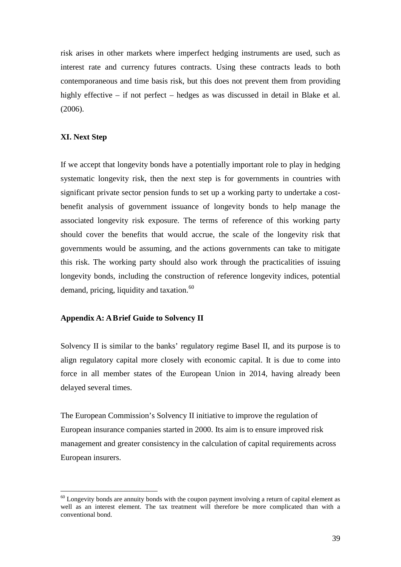risk arises in other markets where imperfect hedging instruments are used, such as interest rate and currency futures contracts. Using these contracts leads to both contemporaneous and time basis risk, but this does not prevent them from providing highly effective – if not perfect – hedges as was discussed in detail in Blake et al. (2006).

### **XI. Next Step**

If we accept that longevity bonds have a potentially important role to play in hedging systematic longevity risk, then the next step is for governments in countries with significant private sector pension funds to set up a working party to undertake a costbenefit analysis of government issuance of longevity bonds to help manage the associated longevity risk exposure. The terms of reference of this working party should cover the benefits that would accrue, the scale of the longevity risk that governments would be assuming, and the actions governments can take to mitigate this risk. The working party should also work through the practicalities of issuing longevity bonds, including the construction of reference longevity indices, potential demand, pricing, liquidity and taxation.<sup>[60](#page-40-0)</sup>

### **Appendix A: A Brief Guide to Solvency II**

Solvency II is similar to the banks' regulatory regime Basel II, and its purpose is to align regulatory capital more closely with economic capital. It is due to come into force in all member states of the European Union in 2014, having already been delayed several times.

The European Commission's Solvency II initiative to improve the regulation of European insurance companies started in 2000. Its aim is to ensure improved risk management and greater consistency in the calculation of capital requirements across European insurers.

<span id="page-40-0"></span> $60$  Longevity bonds are annuity bonds with the coupon payment involving a return of capital element as well as an interest element. The tax treatment will therefore be more complicated than with a conventional bond.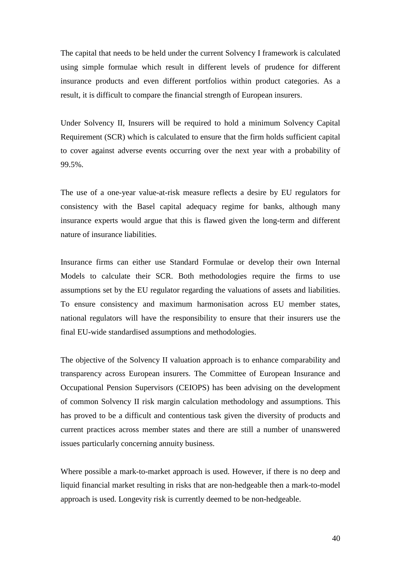The capital that needs to be held under the current Solvency I framework is calculated using simple formulae which result in different levels of prudence for different insurance products and even different portfolios within product categories. As a result, it is difficult to compare the financial strength of European insurers.

Under Solvency II, Insurers will be required to hold a minimum Solvency Capital Requirement (SCR) which is calculated to ensure that the firm holds sufficient capital to cover against adverse events occurring over the next year with a probability of 99.5%.

The use of a one-year value-at-risk measure reflects a desire by EU regulators for consistency with the Basel capital adequacy regime for banks, although many insurance experts would argue that this is flawed given the long-term and different nature of insurance liabilities.

Insurance firms can either use Standard Formulae or develop their own Internal Models to calculate their SCR. Both methodologies require the firms to use assumptions set by the EU regulator regarding the valuations of assets and liabilities. To ensure consistency and maximum harmonisation across EU member states, national regulators will have the responsibility to ensure that their insurers use the final EU-wide standardised assumptions and methodologies.

The objective of the Solvency II valuation approach is to enhance comparability and transparency across European insurers. The Committee of European Insurance and Occupational Pension Supervisors (CEIOPS) has been advising on the development of common Solvency II risk margin calculation methodology and assumptions. This has proved to be a difficult and contentious task given the diversity of products and current practices across member states and there are still a number of unanswered issues particularly concerning annuity business.

Where possible a mark-to-market approach is used. However, if there is no deep and liquid financial market resulting in risks that are non-hedgeable then a mark-to-model approach is used. Longevity risk is currently deemed to be non-hedgeable.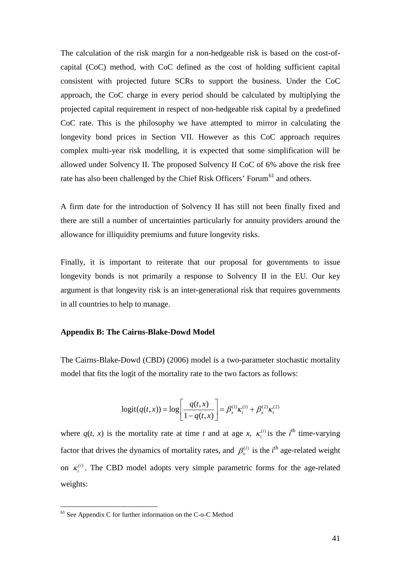The calculation of the risk margin for a non-hedgeable risk is based on the cost-ofcapital (CoC) method, with CoC defined as the cost of holding sufficient capital consistent with projected future SCRs to support the business. Under the CoC approach, the CoC charge in every period should be calculated by multiplying the projected capital requirement in respect of non-hedgeable risk capital by a predefined CoC rate. This is the philosophy we have attempted to mirror in calculating the longevity bond prices in Section VII. However as this CoC approach requires complex multi-year risk modelling, it is expected that some simplification will be allowed under Solvency II. The proposed Solvency II CoC of 6% above the risk free rate has also been challenged by the Chief Risk Officers' Forum<sup>[61](#page-42-0)</sup> and others.

A firm date for the introduction of Solvency II has still not been finally fixed and there are still a number of uncertainties particularly for annuity providers around the allowance for illiquidity premiums and future longevity risks.

Finally, it is important to reiterate that our proposal for governments to issue longevity bonds is not primarily a response to Solvency II in the EU. Our key argument is that longevity risk is an inter-generational risk that requires governments in all countries to help to manage.

### **Appendix B: The Cairns-Blake-Dowd Model**

The Cairns-Blake-Dowd (CBD) (2006) model is a two-parameter stochastic mortality model that fits the logit of the mortality rate to the two factors as follows:

$$
logit(q(t, x)) = log\left[\frac{q(t, x)}{1 - q(t, x)}\right] = \beta_x^{(1)} \kappa_t^{(1)} + \beta_x^{(2)} \kappa_t^{(2)}
$$

where  $q(t, x)$  is the mortality rate at time *t* and at age *x*,  $\kappa_t^{(i)}$  is the *i*<sup>th</sup> time-varying factor that drives the dynamics of mortality rates, and  $\beta_x^{(i)}$  is the *i*<sup>th</sup> age-related weight on  $\kappa$ <sup>(*i*</sup>). The CBD model adopts very simple parametric forms for the age-related weights:

<span id="page-42-0"></span> $61$  See Appendix C for further information on the C-o-C Method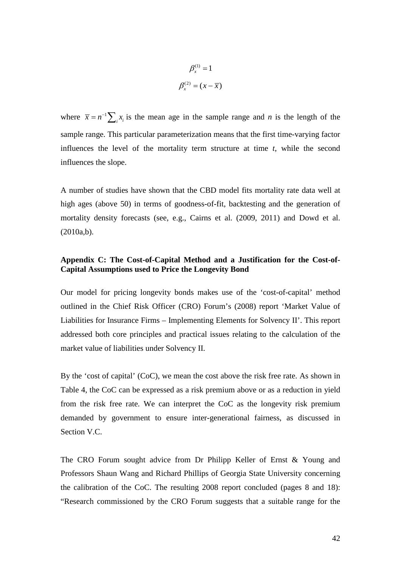$$
\beta_x^{(1)} = 1
$$

$$
\beta_x^{(2)} = (x - \overline{x})
$$

where  $\bar{x} = n^{-1} \sum_{i} x_i$  is the mean age in the sample range and *n* is the length of the sample range. This particular parameterization means that the first time-varying factor influences the level of the mortality term structure at time *t*, while the second influences the slope.

A number of studies have shown that the CBD model fits mortality rate data well at high ages (above 50) in terms of goodness-of-fit, backtesting and the generation of mortality density forecasts (see, e.g., Cairns et al. (2009, 2011) and Dowd et al. (2010a,b).

### **Appendix C: The Cost-of-Capital Method and a Justification for the Cost-of-Capital Assumptions used to Price the Longevity Bond**

Our model for pricing longevity bonds makes use of the 'cost-of-capital' method outlined in the Chief Risk Officer (CRO) Forum's (2008) report 'Market Value of Liabilities for Insurance Firms – Implementing Elements for Solvency II'. This report addressed both core principles and practical issues relating to the calculation of the market value of liabilities under Solvency II.

By the 'cost of capital' (CoC), we mean the cost above the risk free rate. As shown in Table 4, the CoC can be expressed as a risk premium above or as a reduction in yield from the risk free rate. We can interpret the CoC as the longevity risk premium demanded by government to ensure inter-generational fairness, as discussed in Section V.C.

The CRO Forum sought advice from Dr Philipp Keller of Ernst & Young and Professors Shaun Wang and Richard Phillips of Georgia State University concerning the calibration of the CoC. The resulting 2008 report concluded (pages 8 and 18): "Research commissioned by the CRO Forum suggests that a suitable range for the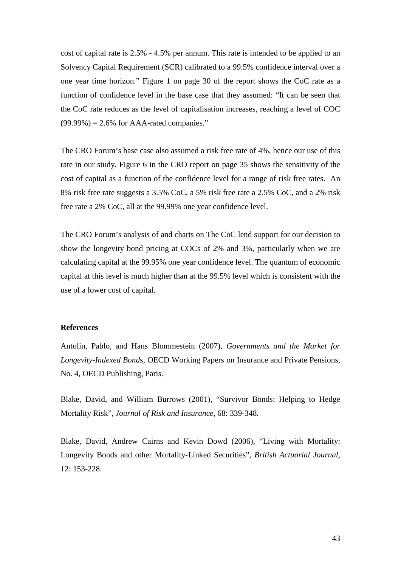cost of capital rate is 2.5% - 4.5% per annum. This rate is intended to be applied to an Solvency Capital Requirement (SCR) calibrated to a 99.5% confidence interval over a one year time horizon." Figure 1 on page 30 of the report shows the CoC rate as a function of confidence level in the base case that they assumed: "It can be seen that the CoC rate reduces as the level of capitalisation increases, reaching a level of COC  $(99.99\%) = 2.6\%$  for AAA-rated companies."

The CRO Forum's base case also assumed a risk free rate of 4%, hence our use of this rate in our study. Figure 6 in the CRO report on page 35 shows the sensitivity of the cost of capital as a function of the confidence level for a range of risk free rates. An 8% risk free rate suggests a 3.5% CoC, a 5% risk free rate a 2.5% CoC, and a 2% risk free rate a 2% CoC, all at the 99.99% one year confidence level.

The CRO Forum's analysis of and charts on The CoC lend support for our decision to show the longevity bond pricing at COCs of 2% and 3%, particularly when we are calculating capital at the 99.95% one year confidence level. The quantum of economic capital at this level is much higher than at the 99.5% level which is consistent with the use of a lower cost of capital.

### **References**

Antolin, Pablo, and Hans Blommestein (2007), *Governments and the Market for Longevity-Indexed Bond*s, OECD Working Papers on Insurance and Private Pensions, No. 4, OECD Publishing, Paris.

Blake, David, and William Burrows (2001), "Survivor Bonds: Helping to Hedge Mortality Risk", *Journal of Risk and Insurance*, 68: 339-348.

Blake, David, Andrew Cairns and Kevin Dowd (2006), "Living with Mortality: Longevity Bonds and other Mortality-Linked Securities", *British Actuarial Journal*,  $12: 153 - 228$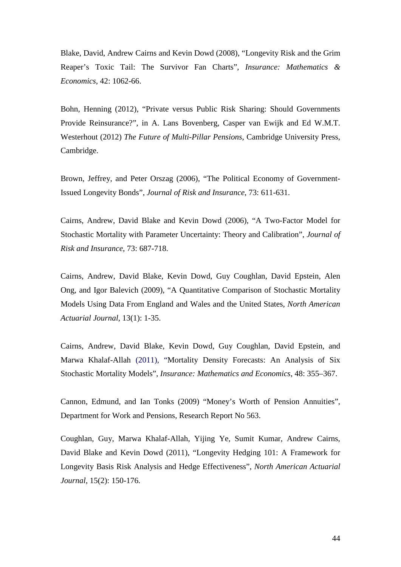Blake, David, Andrew Cairns and Kevin Dowd (2008), "Longevity Risk and the Grim Reaper's Toxic Tail: The Survivor Fan Charts", *Insurance: Mathematics & Economics*, 42: 1062-66.

Bohn, Henning (2012), "Private versus Public Risk Sharing: Should Governments Provide Reinsurance?", in A. Lans Bovenberg, Casper van Ewijk and Ed W.M.T. Westerhout (2012) *The Future of Multi-Pillar Pensions*, Cambridge University Press, Cambridge.

Brown, Jeffrey, and Peter Orszag (2006), "The Political Economy of Government-Issued Longevity Bonds", *Journal of Risk and Insurance*, 73: 611-631.

Cairns, Andrew, David Blake and Kevin Dowd (2006), "A Two-Factor Model for Stochastic Mortality with Parameter Uncertainty: Theory and Calibration", *Journal of Risk and Insurance*, 73: 687-718.

Cairns, Andrew, David Blake, Kevin Dowd, Guy Coughlan, David Epstein, Alen Ong, and Igor Balevich (2009), "A Quantitative Comparison of Stochastic Mortality Models Using Data From England and Wales and the United States, *North American Actuarial Journal*, 13(1): 1-35.

Cairns, Andrew, David Blake, Kevin Dowd, Guy Coughlan, David Epstein, and Marwa Khalaf-Allah (2011), "Mortality Density Forecasts: An Analysis of Six Stochastic Mortality Models", *Insurance: Mathematics and Economics*, 48: 355–367.

Cannon, Edmund, and Ian Tonks (2009) "Money's Worth of Pension Annuities", Department for Work and Pensions, Research Report No 563.

Coughlan, Guy, Marwa Khalaf-Allah, Yijing Ye, Sumit Kumar, Andrew Cairns, David Blake and Kevin Dowd (2011), "Longevity Hedging 101: A Framework for Longevity Basis Risk Analysis and Hedge Effectiveness", *North American Actuarial Journal*, 15(2): 150-176.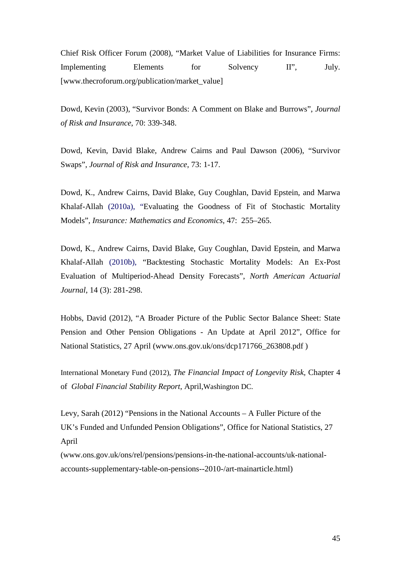Chief Risk Officer Forum (2008), "Market Value of Liabilities for Insurance Firms: Implementing Elements for Solvency II", July. [www.thecroforum.org/publication/market\_value]

Dowd, Kevin (2003), "Survivor Bonds: A Comment on Blake and Burrows", *Journal of Risk and Insurance*, 70: 339-348.

Dowd, Kevin, David Blake, Andrew Cairns and Paul Dawson (2006), "Survivor Swaps", *Journal of Risk and Insurance*, 73: 1-17.

Dowd, K., Andrew Cairns, David Blake, Guy Coughlan, David Epstein, and Marwa Khalaf-Allah (2010a), "Evaluating the Goodness of Fit of Stochastic Mortality Models", *Insurance: Mathematics and Economics*, 47: 255–265.

Dowd, K., Andrew Cairns, David Blake, Guy Coughlan, David Epstein, and Marwa Khalaf-Allah (2010b), "Backtesting Stochastic Mortality Models: An Ex-Post Evaluation of Multiperiod-Ahead Density Forecasts", *North American Actuarial Journal*, 14 (3): 281-298.

Hobbs, David (2012), "A Broader Picture of the Public Sector Balance Sheet: State Pension and Other Pension Obligations - An Update at April 2012", Office for National Statistics, 27 April (www.ons.gov.uk/ons/dcp171766\_263808.pdf )

International Monetary Fund (2012), *The Financial Impact of Longevity Risk,* Chapter 4 of *Global Financial Stability Report*, April,Washington DC.

Levy, Sarah (2012) "Pensions in the National Accounts – A Fuller Picture of the UK's Funded and Unfunded Pension Obligations", Office for National Statistics, 27 April

(www.ons.gov.uk/ons/rel/pensions/pensions-in-the-national-accounts/uk-nationalaccounts-supplementary-table-on-pensions--2010-/art-mainarticle.html)